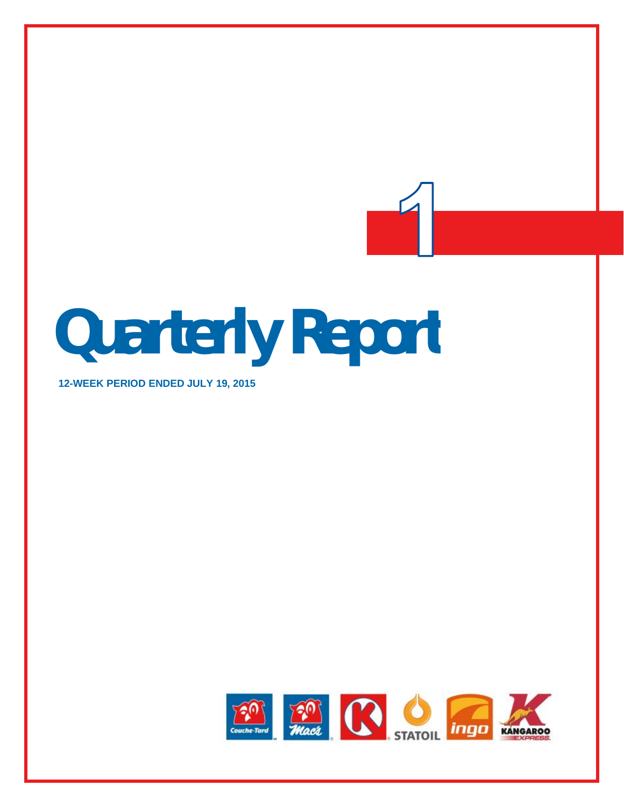# **Quarterly Report**

**12-WEEK PERIOD ENDED JULY 19, 2015**

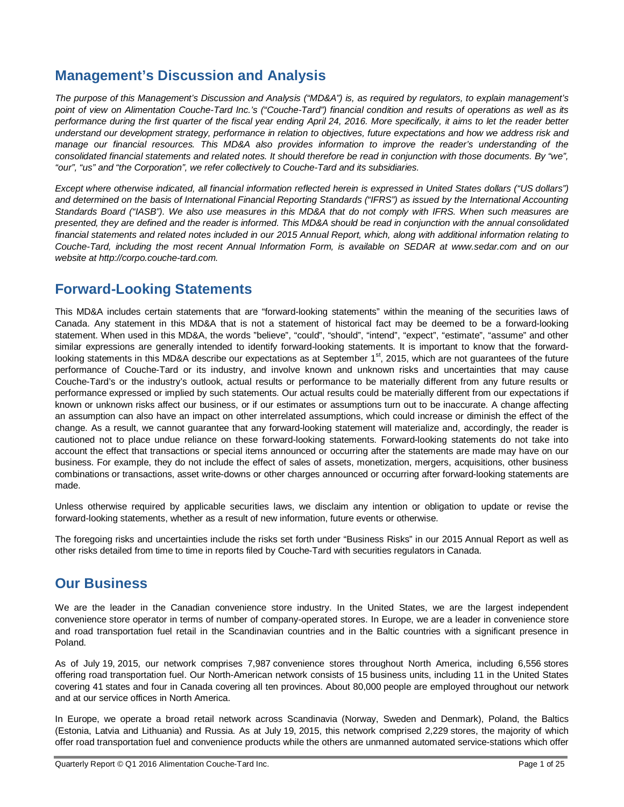# **Management's Discussion and Analysis**

*The purpose of this Management's Discussion and Analysis ("MD&A") is, as required by regulators, to explain management's point of view on Alimentation Couche-Tard Inc.'s ("Couche-Tard") financial condition and results of operations as well as its performance during the first quarter of the fiscal year ending April 24, 2016. More specifically, it aims to let the reader better understand our development strategy, performance in relation to objectives, future expectations and how we address risk and manage our financial resources. This MD&A also provides information to improve the reader's understanding of the consolidated financial statements and related notes. It should therefore be read in conjunction with those documents. By "we", "our", "us" and "the Corporation", we refer collectively to Couche-Tard and its subsidiaries.*

*Except where otherwise indicated, all financial information reflected herein is expressed in United States dollars ("US dollars") and determined on the basis of International Financial Reporting Standards ("IFRS") as issued by the International Accounting Standards Board ("IASB"). We also use measures in this MD&A that do not comply with IFRS. When such measures are presented, they are defined and the reader is informed. This MD&A should be read in conjunction with the annual consolidated financial statements and related notes included in our 2015 Annual Report, which, along with additional information relating to Couche-Tard, including the most recent Annual Information Form, is available on SEDAR at www.sedar.com and on our website at http://corpo.couche-tard.com.*

# **Forward-Looking Statements**

This MD&A includes certain statements that are "forward-looking statements" within the meaning of the securities laws of Canada. Any statement in this MD&A that is not a statement of historical fact may be deemed to be a forward-looking statement. When used in this MD&A, the words "believe", "could", "should", "intend", "expect", "estimate", "assume" and other similar expressions are generally intended to identify forward-looking statements. It is important to know that the forwardlooking statements in this MD&A describe our expectations as at September 1<sup>st</sup>, 2015, which are not guarantees of the future performance of Couche-Tard or its industry, and involve known and unknown risks and uncertainties that may cause Couche-Tard's or the industry's outlook, actual results or performance to be materially different from any future results or performance expressed or implied by such statements. Our actual results could be materially different from our expectations if known or unknown risks affect our business, or if our estimates or assumptions turn out to be inaccurate. A change affecting an assumption can also have an impact on other interrelated assumptions, which could increase or diminish the effect of the change. As a result, we cannot guarantee that any forward-looking statement will materialize and, accordingly, the reader is cautioned not to place undue reliance on these forward-looking statements. Forward-looking statements do not take into account the effect that transactions or special items announced or occurring after the statements are made may have on our business. For example, they do not include the effect of sales of assets, monetization, mergers, acquisitions, other business combinations or transactions, asset write-downs or other charges announced or occurring after forward-looking statements are made.

Unless otherwise required by applicable securities laws, we disclaim any intention or obligation to update or revise the forward-looking statements, whether as a result of new information, future events or otherwise.

The foregoing risks and uncertainties include the risks set forth under "Business Risks" in our 2015 Annual Report as well as other risks detailed from time to time in reports filed by Couche-Tard with securities regulators in Canada.

# **Our Business**

We are the leader in the Canadian convenience store industry. In the United States, we are the largest independent convenience store operator in terms of number of company-operated stores. In Europe, we are a leader in convenience store and road transportation fuel retail in the Scandinavian countries and in the Baltic countries with a significant presence in Poland.

As of July 19, 2015, our network comprises 7,987 convenience stores throughout North America, including 6,556 stores offering road transportation fuel. Our North-American network consists of 15 business units, including 11 in the United States covering 41 states and four in Canada covering all ten provinces. About 80,000 people are employed throughout our network and at our service offices in North America.

In Europe, we operate a broad retail network across Scandinavia (Norway, Sweden and Denmark), Poland, the Baltics (Estonia, Latvia and Lithuania) and Russia. As at July 19, 2015, this network comprised 2,229 stores, the majority of which offer road transportation fuel and convenience products while the others are unmanned automated service-stations which offer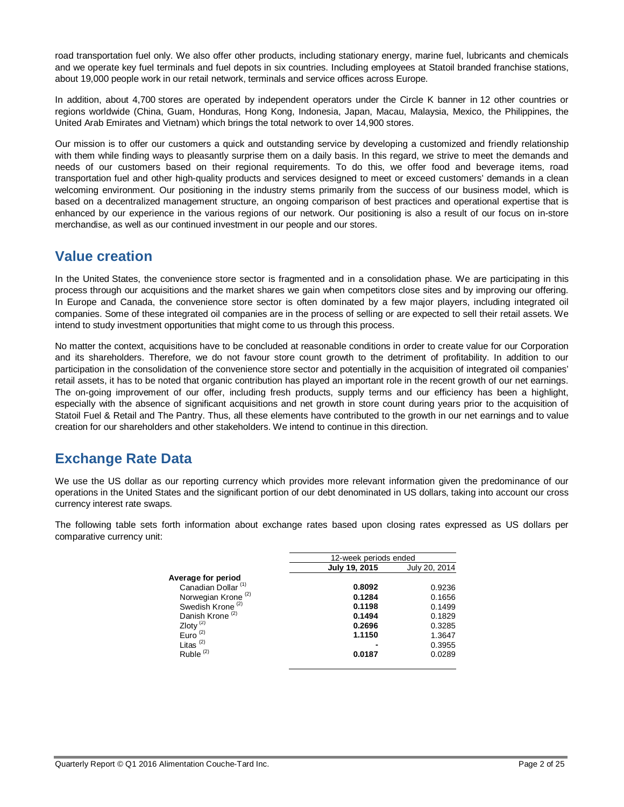road transportation fuel only. We also offer other products, including stationary energy, marine fuel, lubricants and chemicals and we operate key fuel terminals and fuel depots in six countries. Including employees at Statoil branded franchise stations, about 19,000 people work in our retail network, terminals and service offices across Europe.

In addition, about 4,700 stores are operated by independent operators under the Circle K banner in 12 other countries or regions worldwide (China, Guam, Honduras, Hong Kong, Indonesia, Japan, Macau, Malaysia, Mexico, the Philippines, the United Arab Emirates and Vietnam) which brings the total network to over 14,900 stores.

Our mission is to offer our customers a quick and outstanding service by developing a customized and friendly relationship with them while finding ways to pleasantly surprise them on a daily basis. In this regard, we strive to meet the demands and needs of our customers based on their regional requirements. To do this, we offer food and beverage items, road transportation fuel and other high-quality products and services designed to meet or exceed customers' demands in a clean welcoming environment. Our positioning in the industry stems primarily from the success of our business model, which is based on a decentralized management structure, an ongoing comparison of best practices and operational expertise that is enhanced by our experience in the various regions of our network. Our positioning is also a result of our focus on in-store merchandise, as well as our continued investment in our people and our stores.

# **Value creation**

In the United States, the convenience store sector is fragmented and in a consolidation phase. We are participating in this process through our acquisitions and the market shares we gain when competitors close sites and by improving our offering. In Europe and Canada, the convenience store sector is often dominated by a few major players, including integrated oil companies. Some of these integrated oil companies are in the process of selling or are expected to sell their retail assets. We intend to study investment opportunities that might come to us through this process.

No matter the context, acquisitions have to be concluded at reasonable conditions in order to create value for our Corporation and its shareholders. Therefore, we do not favour store count growth to the detriment of profitability. In addition to our participation in the consolidation of the convenience store sector and potentially in the acquisition of integrated oil companies' retail assets, it has to be noted that organic contribution has played an important role in the recent growth of our net earnings. The on-going improvement of our offer, including fresh products, supply terms and our efficiency has been a highlight, especially with the absence of significant acquisitions and net growth in store count during years prior to the acquisition of Statoil Fuel & Retail and The Pantry. Thus, all these elements have contributed to the growth in our net earnings and to value creation for our shareholders and other stakeholders. We intend to continue in this direction.

# **Exchange Rate Data**

We use the US dollar as our reporting currency which provides more relevant information given the predominance of our operations in the United States and the significant portion of our debt denominated in US dollars, taking into account our cross currency interest rate swaps.

The following table sets forth information about exchange rates based upon closing rates expressed as US dollars per comparative currency unit:

|                                | 12-week periods ended |               |  |
|--------------------------------|-----------------------|---------------|--|
|                                | July 19, 2015         | July 20, 2014 |  |
| Average for period             |                       |               |  |
| Canadian Dollar <sup>(1)</sup> | 0.8092                | 0.9236        |  |
| Norwegian Krong <sup>(2)</sup> | 0.1284                | 0.1656        |  |
| Swedish Krone <sup>(2)</sup>   | 0.1198                | 0.1499        |  |
| Danish Krone <sup>(2)</sup>    | 0.1494                | 0.1829        |  |
| Zloty $(2)$                    | 0.2696                | 0.3285        |  |
| Euro $(2)$                     | 1.1150                | 1.3647        |  |
| Litas $(2)$                    |                       | 0.3955        |  |
| Ruble <sup>(2)</sup>           | 0.0187                | 0.0289        |  |
|                                |                       |               |  |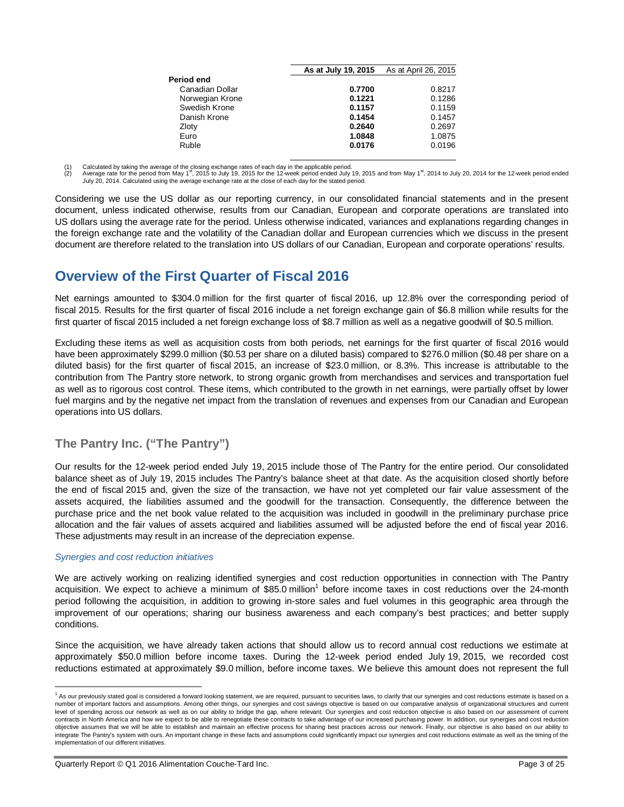|                 | As at July 19, 2015 | As at April 26, 2015 |
|-----------------|---------------------|----------------------|
| Period end      |                     |                      |
| Canadian Dollar | 0.7700              | 0.8217               |
| Norwegian Krone | 0.1221              | 0.1286               |
| Swedish Krone   | 0.1157              | 0.1159               |
| Danish Krone    | 0.1454              | 0.1457               |
| Zloty           | 0.2640              | 0.2697               |
| Euro            | 1.0848              | 1.0875               |
| Ruble           | 0.0176              | 0.0196               |
|                 |                     |                      |

(1) Calculated by taking the average of the closing exchange rates of each day in the applicable period.<br>(2) Average rate for the period from May 1<sup>st</sup> 2015 to July 19, 2015 for the 12-week period ended July

(2) Average rate for the period from May 1st, 2015 to July 19, 2015 for the 12-week period ended July 19, 2015 and from May 1st, 2014 to July 20, 2014 for the 12-week period ended July 20, 2014. Calculated using the average exchange rate at the close of each day for the stated period.

Considering we use the US dollar as our reporting currency, in our consolidated financial statements and in the present document, unless indicated otherwise, results from our Canadian, European and corporate operations are translated into US dollars using the average rate for the period. Unless otherwise indicated, variances and explanations regarding changes in the foreign exchange rate and the volatility of the Canadian dollar and European currencies which we discuss in the present document are therefore related to the translation into US dollars of our Canadian, European and corporate operations' results.

# **Overview of the First Quarter of Fiscal 2016**

Net earnings amounted to \$304.0 million for the first quarter of fiscal 2016, up 12.8% over the corresponding period of fiscal 2015. Results for the first quarter of fiscal 2016 include a net foreign exchange gain of \$6.8 million while results for the first quarter of fiscal 2015 included a net foreign exchange loss of \$8.7 million as well as a negative goodwill of \$0.5 million.

Excluding these items as well as acquisition costs from both periods, net earnings for the first quarter of fiscal 2016 would have been approximately \$299.0 million (\$0.53 per share on a diluted basis) compared to \$276.0 million (\$0.48 per share on a diluted basis) for the first quarter of fiscal 2015, an increase of \$23.0 million, or 8.3%. This increase is attributable to the contribution from The Pantry store network, to strong organic growth from merchandises and services and transportation fuel as well as to rigorous cost control. These items, which contributed to the growth in net earnings, were partially offset by lower fuel margins and by the negative net impact from the translation of revenues and expenses from our Canadian and European operations into US dollars.

# **The Pantry Inc. ("The Pantry")**

Our results for the 12-week period ended July 19, 2015 include those of The Pantry for the entire period. Our consolidated balance sheet as of July 19, 2015 includes The Pantry's balance sheet at that date. As the acquisition closed shortly before the end of fiscal 2015 and, given the size of the transaction, we have not yet completed our fair value assessment of the assets acquired, the liabilities assumed and the goodwill for the transaction. Consequently, the difference between the purchase price and the net book value related to the acquisition was included in goodwill in the preliminary purchase price allocation and the fair values of assets acquired and liabilities assumed will be adjusted before the end of fiscal year 2016. These adjustments may result in an increase of the depreciation expense.

#### *Synergies and cost reduction initiatives*

We are actively working on realizing identified synergies and cost reduction opportunities in connection with The Pantry acquisition. We expect to achieve a minimum of \$85.0 million<sup>1</sup> before income taxes in cost reductions over the 24-month period following the acquisition, in addition to growing in-store sales and fuel volumes in this geographic area through the improvement of our operations; sharing our business awareness and each company's best practices; and better supply conditions.

Since the acquisition, we have already taken actions that should allow us to record annual cost reductions we estimate at approximately \$50.0 million before income taxes. During the 12-week period ended July 19, 2015, we recorded cost reductions estimated at approximately \$9.0 million, before income taxes. We believe this amount does not represent the full

 $\overline{\phantom{a}}$ <sup>1</sup> As our previously stated goal is considered a forward looking statement, we are required, pursuant to securities laws, to clarify that our synergies and cost reductions estimate is based on a number of important factors and assumptions. Among other things, our synergies and cost savings objective is based on our comparative analysis of organizational structures and current level of spending across our network as well as on our ability to bridge the gap, where relevant. Our synergies and cost reduction objective is also based on our assessment of current contracts in North America and how we expect to be able to renegotiate these contracts to take advantage of our increased purchasing power. In addition, our synergies and cost reduction objective assumes that we will be able to establish and maintain an effective process for sharing best practices across our network. Finally, our objective is also based on our ability to integrate The Pantry's system with ours. An important change in these facts and assumptions could significantly impact our synergies and cost reductions estimate as well as the timing of the implementation of our different initiatives.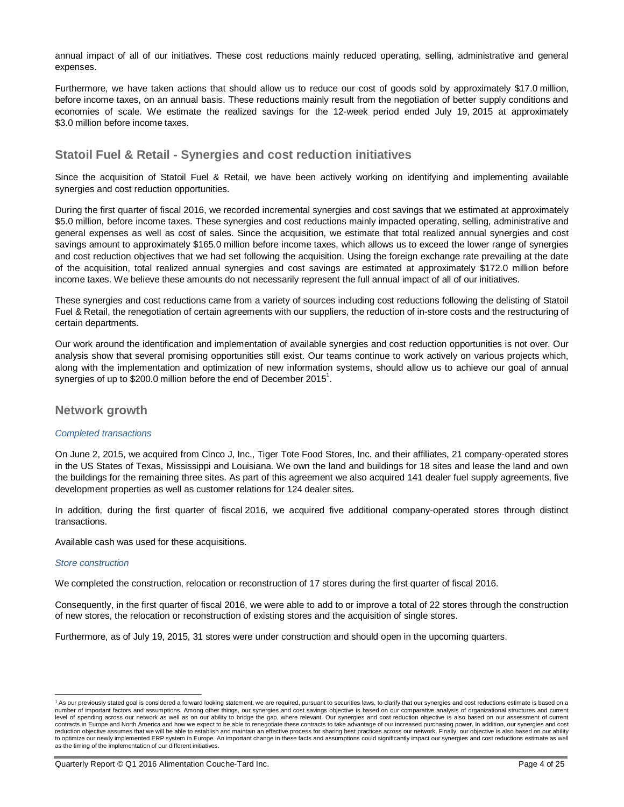annual impact of all of our initiatives. These cost reductions mainly reduced operating, selling, administrative and general expenses.

Furthermore, we have taken actions that should allow us to reduce our cost of goods sold by approximately \$17.0 million, before income taxes, on an annual basis. These reductions mainly result from the negotiation of better supply conditions and economies of scale. We estimate the realized savings for the 12-week period ended July 19, 2015 at approximately \$3.0 million before income taxes.

# **Statoil Fuel & Retail - Synergies and cost reduction initiatives**

Since the acquisition of Statoil Fuel & Retail, we have been actively working on identifying and implementing available synergies and cost reduction opportunities.

During the first quarter of fiscal 2016, we recorded incremental synergies and cost savings that we estimated at approximately \$5.0 million, before income taxes. These synergies and cost reductions mainly impacted operating, selling, administrative and general expenses as well as cost of sales. Since the acquisition, we estimate that total realized annual synergies and cost savings amount to approximately \$165.0 million before income taxes, which allows us to exceed the lower range of synergies and cost reduction objectives that we had set following the acquisition. Using the foreign exchange rate prevailing at the date of the acquisition, total realized annual synergies and cost savings are estimated at approximately \$172.0 million before income taxes. We believe these amounts do not necessarily represent the full annual impact of all of our initiatives.

These synergies and cost reductions came from a variety of sources including cost reductions following the delisting of Statoil Fuel & Retail, the renegotiation of certain agreements with our suppliers, the reduction of in-store costs and the restructuring of certain departments.

Our work around the identification and implementation of available synergies and cost reduction opportunities is not over. Our analysis show that several promising opportunities still exist. Our teams continue to work actively on various projects which, along with the implementation and optimization of new information systems, should allow us to achieve our goal of annual synergies of up to \$200.0 million before the end of December 2015<sup>1</sup>.

## **Network growth**

#### *Completed transactions*

On June 2, 2015, we acquired from Cinco J, Inc., Tiger Tote Food Stores, Inc. and their affiliates, 21 company-operated stores in the US States of Texas, Mississippi and Louisiana. We own the land and buildings for 18 sites and lease the land and own the buildings for the remaining three sites. As part of this agreement we also acquired 141 dealer fuel supply agreements, five development properties as well as customer relations for 124 dealer sites.

In addition, during the first quarter of fiscal 2016, we acquired five additional company-operated stores through distinct transactions.

Available cash was used for these acquisitions.

#### *Store construction*

 $\overline{a}$ 

We completed the construction, relocation or reconstruction of 17 stores during the first quarter of fiscal 2016.

Consequently, in the first quarter of fiscal 2016, we were able to add to or improve a total of 22 stores through the construction of new stores, the relocation or reconstruction of existing stores and the acquisition of single stores.

Furthermore, as of July 19, 2015, 31 stores were under construction and should open in the upcoming quarters.

<sup>&</sup>lt;sup>1</sup> As our previously stated goal is considered a forward looking statement, we are required, pursuant to securities laws, to clarify that our synergies and cost reductions estimate is based on a number of important factors and assumptions. Among other things, our synergies and cost savings objective is based on our comparative analysis of organizational structures and current level of spending across our network as well as on our ability to bridge the gap, where relevant. Our synergies and cost reduction objective is also based on our assessment of current contracts in Europe and North America and how we expect to be able to renegotiate these contracts to take advantage of our increased purchasing power. In addition, our synergies and cost<br>reduction objective assumes that we to optimize our newly implemented ERP system in Europe. An important change in these facts and assumptions could significantly impact our synergies and cost reductions estimate as well as the timing of the implementation of our different initiatives.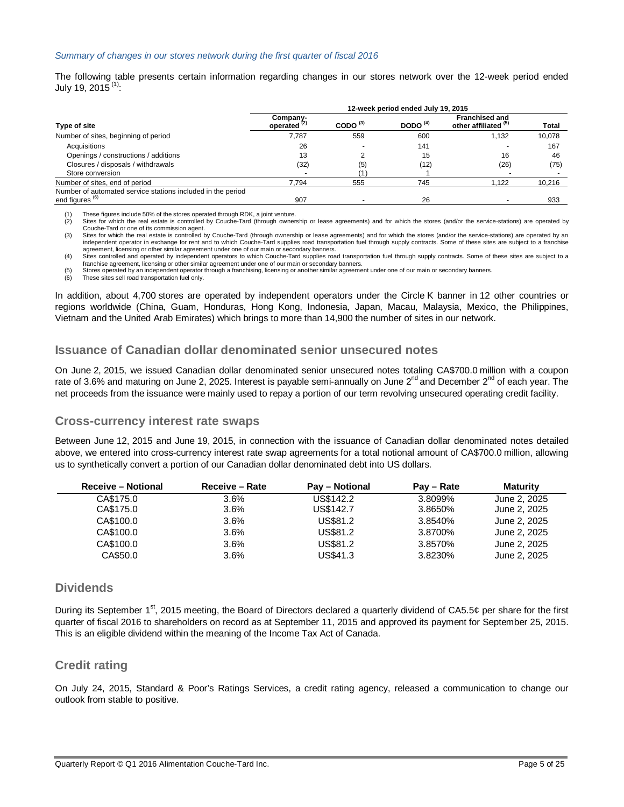#### *Summary of changes in our stores network during the first quarter of fiscal 2016*

The following table presents certain information regarding changes in our stores network over the 12-week period ended July 19, 2015 <sup>(1)</sup>:

|                                                                                           | 12-week period ended July 19, 2015  |            |            |                                               |              |
|-------------------------------------------------------------------------------------------|-------------------------------------|------------|------------|-----------------------------------------------|--------------|
| Type of site                                                                              | Company-<br>operated <sup>(2)</sup> | CODO $(3)$ | DODO $(4)$ | <b>Franchised and</b><br>other affiliated (b) | <b>Total</b> |
| Number of sites, beginning of period                                                      | 7.787                               | 559        | 600        | 1.132                                         | 10,078       |
| Acquisitions                                                                              | 26                                  |            | 141        |                                               | 167          |
| Openings / constructions / additions                                                      | 13                                  |            | 15         | 16                                            | 46           |
| Closures / disposals / withdrawals                                                        | (32)                                | (5)        | (12)       | (26)                                          | (75)         |
| Store conversion                                                                          |                                     |            |            |                                               |              |
| Number of sites, end of period                                                            | 7.794                               | 555        | 745        | 1.122                                         | 10,216       |
| Number of automated service stations included in the period<br>end figures <sup>(6)</sup> | 907                                 |            | 26         |                                               | 933          |

(1) These figures include 50% of the stores operated through RDK, a joint venture.

Sites for which the real estate is controlled by Couche-Tard (through ownership or lease agreements) and for which the stores (and/or the service-stations) are operated by Couche-Tard or one of its commission agent.

(3) Sites for which the real estate is controlled by Couche-Tard (through ownership or lease agreements) and for which the stores (and/or the service-stations) are operated by an<br>independent operator in exchange for rent a agreement, licensing or other similar agreement under one of our main or secondary banners.

(4) Sites controlled and operated by independent operators to which Couche-Tard supplies road transportation fuel through supply contracts. Some of these sites are subject to a franchise agreement, licensing or other similar agreement under one of our main or secondary banners.

(5) Stores operated by an independent operator through a franchising, licensing or another similar agreement under one of our main or secondary banners. (6) These sites sell road transportation fuel only.

In addition, about 4,700 stores are operated by independent operators under the Circle K banner in 12 other countries or regions worldwide (China, Guam, Honduras, Hong Kong, Indonesia, Japan, Macau, Malaysia, Mexico, the Philippines, Vietnam and the United Arab Emirates) which brings to more than 14,900 the number of sites in our network.

## **Issuance of Canadian dollar denominated senior unsecured notes**

On June 2, 2015, we issued Canadian dollar denominated senior unsecured notes totaling CA\$700.0 million with a coupon rate of 3.6% and maturing on June 2, 2025. Interest is payable semi-annually on June 2<sup>nd</sup> and December 2<sup>nd</sup> of each year. The net proceeds from the issuance were mainly used to repay a portion of our term revolving unsecured operating credit facility.

#### **Cross-currency interest rate swaps**

Between June 12, 2015 and June 19, 2015, in connection with the issuance of Canadian dollar denominated notes detailed above, we entered into cross-currency interest rate swap agreements for a total notional amount of CA\$700.0 million, allowing us to synthetically convert a portion of our Canadian dollar denominated debt into US dollars.

| <b>Receive – Notional</b> | Receive - Rate | <b>Pay – Notional</b> | Pay – Rate | <b>Maturity</b> |
|---------------------------|----------------|-----------------------|------------|-----------------|
| CA\$175.0                 | $3.6\%$        | US\$142.2             | 3.8099%    | June 2, 2025    |
| CA\$175.0                 | $3.6\%$        | US\$142.7             | 3.8650%    | June 2, 2025    |
| CA\$100.0                 | $3.6\%$        | US\$81.2              | 3.8540%    | June 2, 2025    |
| CA\$100.0                 | $3.6\%$        | US\$81.2              | 3.8700%    | June 2, 2025    |
| CA\$100.0                 | $3.6\%$        | US\$81.2              | 3.8570%    | June 2, 2025    |
| CA\$50.0                  | $3.6\%$        | US\$41.3              | 3.8230%    | June 2, 2025    |

## **Dividends**

During its September 1<sup>st</sup>, 2015 meeting, the Board of Directors declared a quarterly dividend of CA5.5¢ per share for the first quarter of fiscal 2016 to shareholders on record as at September 11, 2015 and approved its payment for September 25, 2015. This is an eligible dividend within the meaning of the Income Tax Act of Canada.

## **Credit rating**

On July 24, 2015, Standard & Poor's Ratings Services, a credit rating agency, released a communication to change our outlook from stable to positive.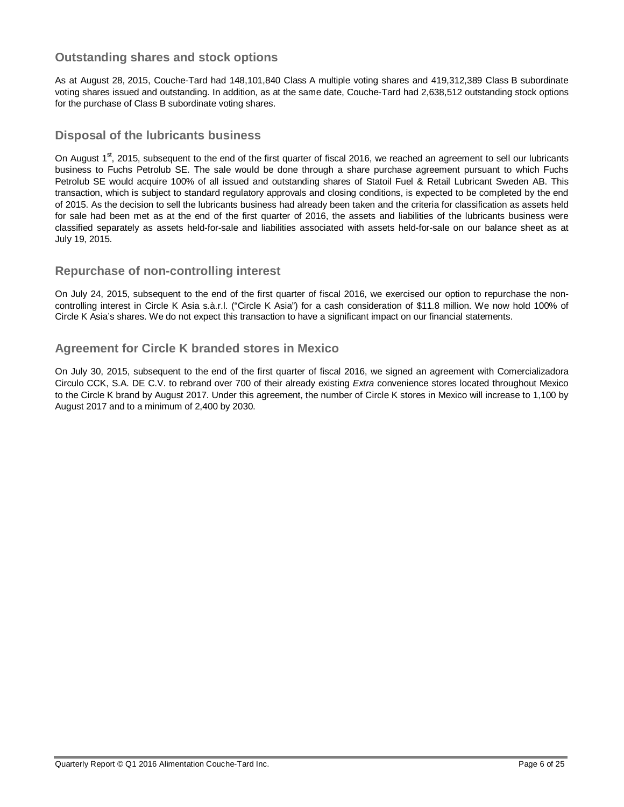# **Outstanding shares and stock options**

As at August 28, 2015, Couche-Tard had 148,101,840 Class A multiple voting shares and 419,312,389 Class B subordinate voting shares issued and outstanding. In addition, as at the same date, Couche-Tard had 2,638,512 outstanding stock options for the purchase of Class B subordinate voting shares.

## **Disposal of the lubricants business**

On August 1<sup>st</sup>, 2015, subsequent to the end of the first quarter of fiscal 2016, we reached an agreement to sell our lubricants business to Fuchs Petrolub SE. The sale would be done through a share purchase agreement pursuant to which Fuchs Petrolub SE would acquire 100% of all issued and outstanding shares of Statoil Fuel & Retail Lubricant Sweden AB. This transaction, which is subject to standard regulatory approvals and closing conditions, is expected to be completed by the end of 2015. As the decision to sell the lubricants business had already been taken and the criteria for classification as assets held for sale had been met as at the end of the first quarter of 2016, the assets and liabilities of the lubricants business were classified separately as assets held-for-sale and liabilities associated with assets held-for-sale on our balance sheet as at July 19, 2015.

# **Repurchase of non-controlling interest**

On July 24, 2015, subsequent to the end of the first quarter of fiscal 2016, we exercised our option to repurchase the noncontrolling interest in Circle K Asia s.à.r.l. ("Circle K Asia") for a cash consideration of \$11.8 million. We now hold 100% of Circle K Asia's shares. We do not expect this transaction to have a significant impact on our financial statements.

# **Agreement for Circle K branded stores in Mexico**

On July 30, 2015, subsequent to the end of the first quarter of fiscal 2016, we signed an agreement with Comercializadora Circulo CCK, S.A. DE C.V. to rebrand over 700 of their already existing *Extra* convenience stores located throughout Mexico to the Circle K brand by August 2017. Under this agreement, the number of Circle K stores in Mexico will increase to 1,100 by August 2017 and to a minimum of 2,400 by 2030.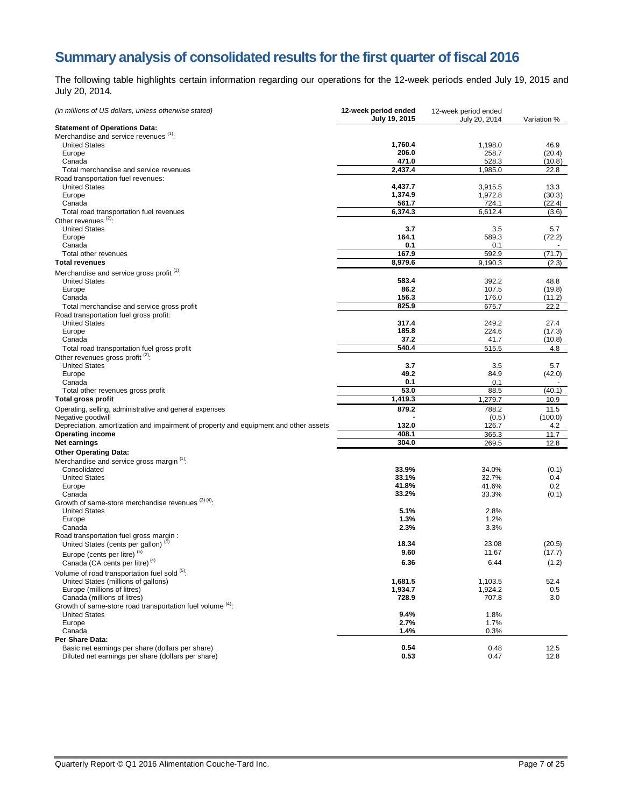# **Summary analysis of consolidated results for the first quarter of fiscal 2016**

The following table highlights certain information regarding our operations for the 12-week periods ended July 19, 2015 and July 20, 2014.

| (In millions of US dollars, unless otherwise stated)                                 | 12-week period ended<br>July 19, 2015 | 12-week period ended<br>July 20, 2014 | Variation %    |
|--------------------------------------------------------------------------------------|---------------------------------------|---------------------------------------|----------------|
| <b>Statement of Operations Data:</b>                                                 |                                       |                                       |                |
| Merchandise and service revenues (1):                                                |                                       |                                       |                |
| <b>United States</b>                                                                 | 1,760.4                               | 1,198.0                               | 46.9           |
| Europe                                                                               | 206.0                                 | 258.7                                 | (20.4)         |
| Canada                                                                               | 471.0                                 | 528.3                                 | (10.8)         |
| Total merchandise and service revenues                                               | 2,437.4                               | 1,985.0                               | 22.8           |
| Road transportation fuel revenues:                                                   |                                       |                                       |                |
| <b>United States</b>                                                                 | 4,437.7                               | 3,915.5                               | 13.3           |
| Europe                                                                               | 1,374.9                               | 1,972.8                               | (30.3)         |
| Canada                                                                               | 561.7                                 | 724.1                                 | (22.4)         |
| Total road transportation fuel revenues<br>Other revenues <sup>(2)</sup> :           | 6,374.3                               | 6,612.4                               | (3.6)          |
| <b>United States</b>                                                                 | 3.7                                   | 3.5                                   | 5.7            |
| Europe                                                                               | 164.1                                 | 589.3                                 | (72.2)         |
| Canada                                                                               | 0.1                                   | 0.1                                   |                |
| Total other revenues                                                                 | 167.9                                 | 592.9                                 | (71.7)         |
| <b>Total revenues</b>                                                                | 8,979.6                               | 9,190.3                               | (2.3)          |
|                                                                                      |                                       |                                       |                |
| Merchandise and service gross profit <sup>(1)</sup> :                                |                                       |                                       |                |
| <b>United States</b>                                                                 | 583.4                                 | 392.2                                 | 48.8           |
| Europe<br>Canada                                                                     | 86.2<br>156.3                         | 107.5<br>176.0                        | (19.8)         |
|                                                                                      | 825.9                                 | 675.7                                 | (11.2)<br>22.2 |
| Total merchandise and service gross profit<br>Road transportation fuel gross profit: |                                       |                                       |                |
| <b>United States</b>                                                                 | 317.4                                 | 249.2                                 | 27.4           |
| Europe                                                                               | 185.8                                 | 224.6                                 | (17.3)         |
| Canada                                                                               | 37.2                                  | 41.7                                  | (10.8)         |
| Total road transportation fuel gross profit                                          | 540.4                                 | 515.5                                 | 4.8            |
| Other revenues gross profit <sup>(2)</sup> :                                         |                                       |                                       |                |
| <b>United States</b>                                                                 | 3.7                                   | 3.5                                   | 5.7            |
| Europe                                                                               | 49.2                                  | 84.9                                  | (42.0)         |
| Canada                                                                               | 0.1                                   | 0.1                                   |                |
| Total other revenues gross profit                                                    | 53.0                                  | 88.5                                  | (40.1)         |
| <b>Total gross profit</b>                                                            | 1,419.3                               | 1,279.7                               | 10.9           |
| Operating, selling, administrative and general expenses                              | 879.2                                 | 788.2                                 | 11.5           |
| Negative goodwill                                                                    |                                       | (0.5)                                 | (100.0)        |
| Depreciation, amortization and impairment of property and equipment and other assets | 132.0                                 | 126.7                                 | 4.2            |
| <b>Operating income</b>                                                              | 408.1                                 | 365.3                                 | 11.7           |
| Net earnings                                                                         | 304.0                                 | 269.5                                 | 12.8           |
| <b>Other Operating Data:</b>                                                         |                                       |                                       |                |
| Merchandise and service gross margin <sup>(1)</sup> :                                |                                       |                                       |                |
| Consolidated                                                                         | 33.9%                                 | 34.0%                                 | (0.1)          |
| <b>United States</b>                                                                 | 33.1%                                 | 32.7%                                 | 0.4            |
| Europe                                                                               | 41.8%                                 | 41.6%                                 | 0.2            |
| Canada                                                                               | 33.2%                                 | 33.3%                                 | (0.1)          |
| Growth of same-store merchandise revenues (3)(4).                                    |                                       |                                       |                |
| <b>United States</b>                                                                 | 5.1%                                  | 2.8%                                  |                |
| Europe                                                                               | 1.3%                                  | 1.2%                                  |                |
| Canada                                                                               | 2.3%                                  | 3.3%                                  |                |
| Road transportation fuel gross margin :                                              |                                       |                                       |                |
| United States (cents per gallon) "                                                   | 18.34                                 | 23.08                                 | (20.5)         |
| Europe (cents per litre) <sup>(5)</sup>                                              | 9.60                                  | 11.67                                 | (17.7)         |
| Canada (CA cents per litre) <sup>(4)</sup>                                           | 6.36                                  | 6.44                                  | (1.2)          |
| Volume of road transportation fuel sold (5):                                         |                                       |                                       |                |
| United States (millions of gallons)                                                  | 1,681.5                               | 1,103.5                               | 52.4           |
| Europe (millions of litres)                                                          | 1,934.7                               | 1,924.2                               | 0.5            |
| Canada (millions of litres)                                                          | 728.9                                 | 707.8                                 | 3.0            |
| Growth of same-store road transportation fuel volume (4):                            |                                       |                                       |                |
| <b>United States</b>                                                                 | 9.4%                                  | 1.8%                                  |                |
| Europe                                                                               | 2.7%                                  | 1.7%                                  |                |
| Canada                                                                               | 1.4%                                  | 0.3%                                  |                |
| Per Share Data:                                                                      |                                       |                                       |                |
| Basic net earnings per share (dollars per share)                                     | 0.54                                  | 0.48                                  | 12.5           |
| Diluted net earnings per share (dollars per share)                                   | 0.53                                  | 0.47                                  | 12.8           |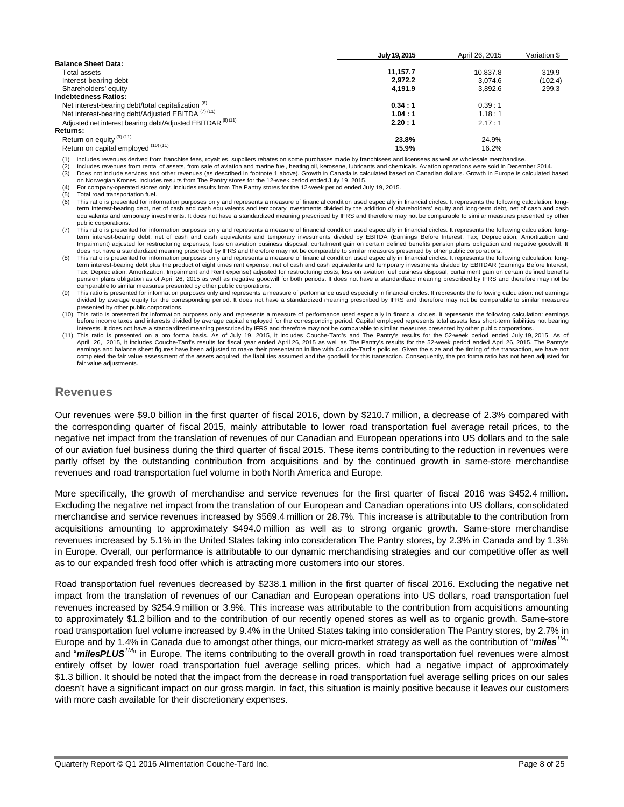|                                                                        | July 19, 2015 | April 26, 2015 | Variation \$ |
|------------------------------------------------------------------------|---------------|----------------|--------------|
| <b>Balance Sheet Data:</b>                                             |               |                |              |
| Total assets                                                           | 11.157.7      | 10.837.8       | 319.9        |
| Interest-bearing debt                                                  | 2.972.2       | 3.074.6        | (102.4)      |
| Shareholders' equity                                                   | 4,191.9       | 3.892.6        | 299.3        |
| <b>Indebtedness Ratios:</b>                                            |               |                |              |
| Net interest-bearing debt/total capitalization <sup>(6)</sup>          | 0.34:1        | 0.39:1         |              |
| Net interest-bearing debt/Adjusted EBITDA <sup>(7)(11)</sup>           | 1.04:1        | 1.18:1         |              |
| Adjusted net interest bearing debt/Adjusted EBITDAR <sup>(8)(11)</sup> | 2.20:1        | 2.17:1         |              |
| <b>Returns:</b>                                                        |               |                |              |
| Return on equity (9) (11)                                              | 23.8%         | 24.9%          |              |
| Return on capital employed (10) (11)                                   | 15.9%         | 16.2%          |              |

(1) Includes revenues derived from franchise fees, royalties, suppliers rebates on some purchases made by franchisees and licensees as well as wholesale merchandise.

(2) Includes revenues from rental of assets, from sale of aviation and marine fuel, heating oil, kerosene, lubricants and chemicals. Aviation operations were sold in December 2014.<br>(3) Does not include services and other r Does not include services and other revenues (as described in footnote 1 above). Growth in Canada is calculated based on Canadian dollars. Growth in Europe is calculated based

on Norwegian Krones. Includes results from The Pantry stores for the 12-week period ended July 19, 2015.

(4) For company-operated stores only. Includes results from The Pantry stores for the 12-week period ended July 19, 2015.

Total road transportation fuel.

This ratio is presented for information purposes only and represents a measure of financial condition used especially in financial circles. It represents the following calculation: longterm interest-bearing debt, net of cash and cash equivalents and temporary investments divided by the addition of shareholders' equity and long-term debt, net of cash and cash equivalents and temporary investments. It does not have a standardized meaning prescribed by IFRS and therefore may not be comparable to similar measures presented by other

- public corporations. (7) This ratio is presented for information purposes only and represents a measure of financial condition used especially in financial circles. It represents the following calculation: longterm interest-bearing debt, net of cash and cash equivalents and temporary investments divided by EBITDA (Earnings Before Interest, Tax, Depreciation, Amortization and Impairment) adjusted for restructuring expenses, loss on aviation business disposal, curtailment gain on certain defined benefits pension plans obligation and negative goodwill. It does not have a standardized meaning prescribed by IFRS and therefore may not be comparable to similar measures presented by other public corporations.
- This ratio is presented for information purposes only and represents a measure of financial condition used especially in financial circles. It represents the following calculation: longterm interest-bearing debt plus the product of eight times rent expense, net of cash and cash equivalents and temporary investments divided by EBITDAR (Earnings Before Interest, Tax, Depreciation, Amortization, Impairment and Rent expense) adjusted for restructuring costs, loss on aviation fuel business disposal, curtailment gain on certain defined benefits pension plans obligation as of April 26, 2015 as well as negative goodwill for both periods. It does not have a standardized meaning prescribed by IFRS and therefore may not be comparable to similar measures presented by other public corporations.
- This ratio is presented for information purposes only and represents a measure of performance used especially in financial circles. It represents the following calculation: net earnings divided by average equity for the corresponding period. It does not have a standardized meaning prescribed by IFRS and therefore may not be comparable to similar measures presented by other public corporations.
- (10) This ratio is presented for information purposes only and represents a measure of performance used especially in financial circles. It represents the following calculation: earnings before income taxes and interests divided by average capital employed for the corresponding period. Capital employed represents total assets less short-term liabilities not bearing interests. It does not have a standardized meaning prescribed by IFRS and therefore may not be comparable to similar measures presented by other public corporations.

11) This ratio is presented on a pro forma basis. As of July 19, 2015, it includes Couche-Tard's and The Pantry's results for the 52-week period ended July 19, 2015. As of)<br>April 26, 2015, it includes Couche-Tard's results earnings and balance sheet figures have been adjusted to make their presentation in line with Couche-Tard's policies. Given the size and the timing of the transaction, we have not completed the fair value assessment of the assets acquired, the liabilities assumed and the goodwill for this transaction. Consequently, the pro forma ratio has not been adjusted for fair value adjustments.

#### **Revenues**

Our revenues were \$9.0 billion in the first quarter of fiscal 2016, down by \$210.7 million, a decrease of 2.3% compared with the corresponding quarter of fiscal 2015, mainly attributable to lower road transportation fuel average retail prices, to the negative net impact from the translation of revenues of our Canadian and European operations into US dollars and to the sale of our aviation fuel business during the third quarter of fiscal 2015. These items contributing to the reduction in revenues were partly offset by the outstanding contribution from acquisitions and by the continued growth in same-store merchandise revenues and road transportation fuel volume in both North America and Europe.

More specifically, the growth of merchandise and service revenues for the first quarter of fiscal 2016 was \$452.4 million. Excluding the negative net impact from the translation of our European and Canadian operations into US dollars, consolidated merchandise and service revenues increased by \$569.4 million or 28.7%. This increase is attributable to the contribution from acquisitions amounting to approximately \$494.0 million as well as to strong organic growth. Same-store merchandise revenues increased by 5.1% in the United States taking into consideration The Pantry stores, by 2.3% in Canada and by 1.3% in Europe. Overall, our performance is attributable to our dynamic merchandising strategies and our competitive offer as well as to our expanded fresh food offer which is attracting more customers into our stores.

Road transportation fuel revenues decreased by \$238.1 million in the first quarter of fiscal 2016. Excluding the negative net impact from the translation of revenues of our Canadian and European operations into US dollars, road transportation fuel revenues increased by \$254.9 million or 3.9%. This increase was attributable to the contribution from acquisitions amounting to approximately \$1.2 billion and to the contribution of our recently opened stores as well as to organic growth. Same-store road transportation fuel volume increased by 9.4% in the United States taking into consideration The Pantry stores, by 2.7% in Europe and by 1.4% in Canada due to amongst other things, our micro-market strategy as well as the contribution of "*milesTM*" and "**milesPLUS**<sup>™</sup>" in Europe. The items contributing to the overall growth in road transportation fuel revenues were almost entirely offset by lower road transportation fuel average selling prices, which had a negative impact of approximately \$1.3 billion. It should be noted that the impact from the decrease in road transportation fuel average selling prices on our sales doesn't have a significant impact on our gross margin. In fact, this situation is mainly positive because it leaves our customers with more cash available for their discretionary expenses.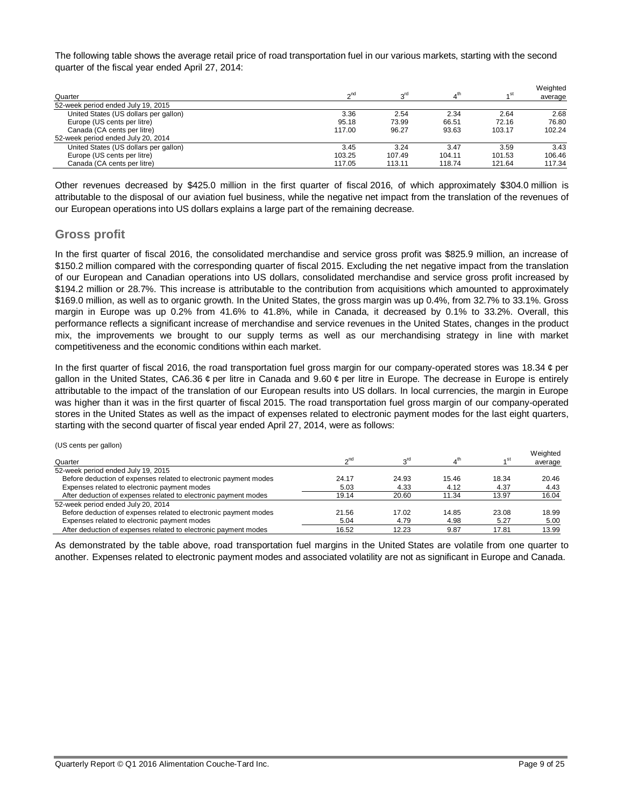The following table shows the average retail price of road transportation fuel in our various markets, starting with the second quarter of the fiscal year ended April 27, 2014:

| Quarter                               | $\gamma$ <sup>nd</sup> | 3 <sup>rd</sup> | 4 <sup>th</sup> | 4 <sup>st</sup> | Weighted<br>average |
|---------------------------------------|------------------------|-----------------|-----------------|-----------------|---------------------|
| 52-week period ended July 19, 2015    |                        |                 |                 |                 |                     |
| United States (US dollars per gallon) | 3.36                   | 2.54            | 2.34            | 2.64            | 2.68                |
| Europe (US cents per litre)           | 95.18                  | 73.99           | 66.51           | 72.16           | 76.80               |
| Canada (CA cents per litre)           | 117.00                 | 96.27           | 93.63           | 103.17          | 102.24              |
| 52-week period ended July 20, 2014    |                        |                 |                 |                 |                     |
| United States (US dollars per gallon) | 3.45                   | 3.24            | 3.47            | 3.59            | 3.43                |
| Europe (US cents per litre)           | 103.25                 | 107.49          | 104.11          | 101.53          | 106.46              |
| Canada (CA cents per litre)           | 117.05                 | 113.11          | 118.74          | 121.64          | 117.34              |

Other revenues decreased by \$425.0 million in the first quarter of fiscal 2016, of which approximately \$304.0 million is attributable to the disposal of our aviation fuel business, while the negative net impact from the translation of the revenues of our European operations into US dollars explains a large part of the remaining decrease.

## **Gross profit**

In the first quarter of fiscal 2016, the consolidated merchandise and service gross profit was \$825.9 million, an increase of \$150.2 million compared with the corresponding quarter of fiscal 2015. Excluding the net negative impact from the translation of our European and Canadian operations into US dollars, consolidated merchandise and service gross profit increased by \$194.2 million or 28.7%. This increase is attributable to the contribution from acquisitions which amounted to approximately \$169.0 million, as well as to organic growth. In the United States, the gross margin was up 0.4%, from 32.7% to 33.1%. Gross margin in Europe was up 0.2% from 41.6% to 41.8%, while in Canada, it decreased by 0.1% to 33.2%. Overall, this performance reflects a significant increase of merchandise and service revenues in the United States, changes in the product mix, the improvements we brought to our supply terms as well as our merchandising strategy in line with market competitiveness and the economic conditions within each market.

In the first quarter of fiscal 2016, the road transportation fuel gross margin for our company-operated stores was 18.34 ¢ per gallon in the United States, CA6.36 ¢ per litre in Canada and 9.60 ¢ per litre in Europe. The decrease in Europe is entirely attributable to the impact of the translation of our European results into US dollars. In local currencies, the margin in Europe was higher than it was in the first quarter of fiscal 2015. The road transportation fuel gross margin of our company-operated stores in the United States as well as the impact of expenses related to electronic payment modes for the last eight quarters, starting with the second quarter of fiscal year ended April 27, 2014, were as follows:

#### (US cents per gallon)

|                                                                  |                 |       |       |                 | Weighted |
|------------------------------------------------------------------|-----------------|-------|-------|-----------------|----------|
| Quarter                                                          | 2 <sub>nd</sub> | rdی   |       | 4 <sup>St</sup> | average  |
| 52-week period ended July 19, 2015                               |                 |       |       |                 |          |
| Before deduction of expenses related to electronic payment modes | 24.17           | 24.93 | 15.46 | 18.34           | 20.46    |
| Expenses related to electronic payment modes                     | 5.03            | 4.33  | 4.12  | 4.37            | 4.43     |
| After deduction of expenses related to electronic payment modes  | 19.14           | 20.60 | 11.34 | 13.97           | 16.04    |
| 52-week period ended July 20, 2014                               |                 |       |       |                 |          |
| Before deduction of expenses related to electronic payment modes | 21.56           | 17.02 | 14.85 | 23.08           | 18.99    |
| Expenses related to electronic payment modes                     | 5.04            | 4.79  | 4.98  | 5.27            | 5.00     |
| After deduction of expenses related to electronic payment modes  | 16.52           | 12.23 | 9.87  | 17.81           | 13.99    |

As demonstrated by the table above, road transportation fuel margins in the United States are volatile from one quarter to another. Expenses related to electronic payment modes and associated volatility are not as significant in Europe and Canada.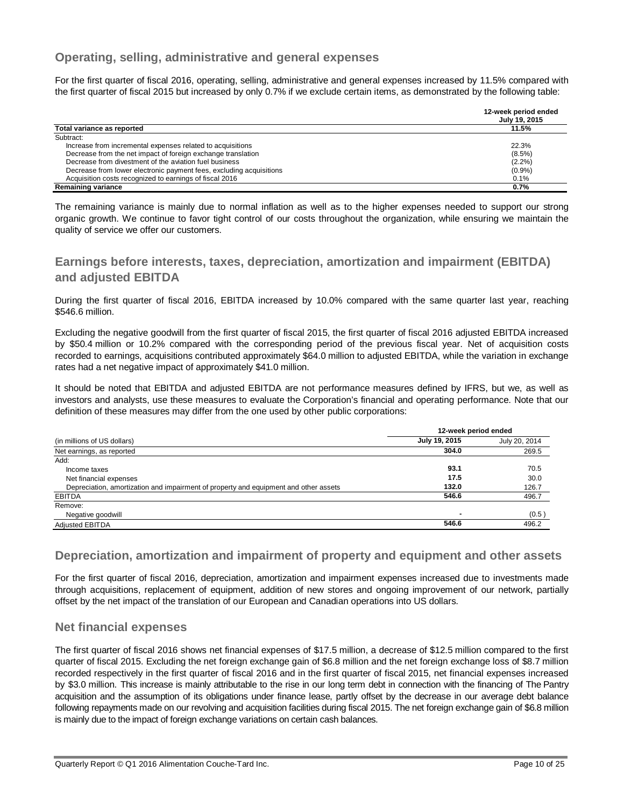# **Operating, selling, administrative and general expenses**

For the first quarter of fiscal 2016, operating, selling, administrative and general expenses increased by 11.5% compared with the first quarter of fiscal 2015 but increased by only 0.7% if we exclude certain items, as demonstrated by the following table:

|                                                                     | 12-week period ended<br>July 19, 2015 |
|---------------------------------------------------------------------|---------------------------------------|
| Total variance as reported                                          | 11.5%                                 |
| Subtract:                                                           |                                       |
| Increase from incremental expenses related to acquisitions          | 22.3%                                 |
| Decrease from the net impact of foreign exchange translation        | $(8.5\%)$                             |
| Decrease from divestment of the aviation fuel business              | $(2.2\%)$                             |
| Decrease from lower electronic payment fees, excluding acquisitions | (0.9%                                 |
| Acquisition costs recognized to earnings of fiscal 2016             | 0.1%                                  |
| Remaining variance                                                  | 0.7%                                  |

The remaining variance is mainly due to normal inflation as well as to the higher expenses needed to support our strong organic growth. We continue to favor tight control of our costs throughout the organization, while ensuring we maintain the quality of service we offer our customers.

# **Earnings before interests, taxes, depreciation, amortization and impairment (EBITDA) and adjusted EBITDA**

During the first quarter of fiscal 2016, EBITDA increased by 10.0% compared with the same quarter last year, reaching \$546.6 million.

Excluding the negative goodwill from the first quarter of fiscal 2015, the first quarter of fiscal 2016 adjusted EBITDA increased by \$50.4 million or 10.2% compared with the corresponding period of the previous fiscal year. Net of acquisition costs recorded to earnings, acquisitions contributed approximately \$64.0 million to adjusted EBITDA, while the variation in exchange rates had a net negative impact of approximately \$41.0 million.

It should be noted that EBITDA and adjusted EBITDA are not performance measures defined by IFRS, but we, as well as investors and analysts, use these measures to evaluate the Corporation's financial and operating performance. Note that our definition of these measures may differ from the one used by other public corporations:

|                                                                                      | 12-week period ended |               |  |
|--------------------------------------------------------------------------------------|----------------------|---------------|--|
| (in millions of US dollars)                                                          | July 19, 2015        | July 20, 2014 |  |
| Net earnings, as reported                                                            | 304.0                | 269.5         |  |
| Add:                                                                                 |                      |               |  |
| Income taxes                                                                         | 93.1                 | 70.5          |  |
| Net financial expenses                                                               | 17.5                 | 30.0          |  |
| Depreciation, amortization and impairment of property and equipment and other assets | 132.0                | 126.7         |  |
| <b>EBITDA</b>                                                                        | 546.6                | 496.7         |  |
| Remove:                                                                              |                      |               |  |
| Negative goodwill                                                                    |                      | (0.5)         |  |
| <b>Adjusted EBITDA</b>                                                               | 546.6                | 496.2         |  |

# **Depreciation, amortization and impairment of property and equipment and other assets**

For the first quarter of fiscal 2016, depreciation, amortization and impairment expenses increased due to investments made through acquisitions, replacement of equipment, addition of new stores and ongoing improvement of our network, partially offset by the net impact of the translation of our European and Canadian operations into US dollars.

# **Net financial expenses**

The first quarter of fiscal 2016 shows net financial expenses of \$17.5 million, a decrease of \$12.5 million compared to the first quarter of fiscal 2015. Excluding the net foreign exchange gain of \$6.8 million and the net foreign exchange loss of \$8.7 million recorded respectively in the first quarter of fiscal 2016 and in the first quarter of fiscal 2015, net financial expenses increased by \$3.0 million. This increase is mainly attributable to the rise in our long term debt in connection with the financing of The Pantry acquisition and the assumption of its obligations under finance lease, partly offset by the decrease in our average debt balance following repayments made on our revolving and acquisition facilities during fiscal 2015. The net foreign exchange gain of \$6.8 million is mainly due to the impact of foreign exchange variations on certain cash balances.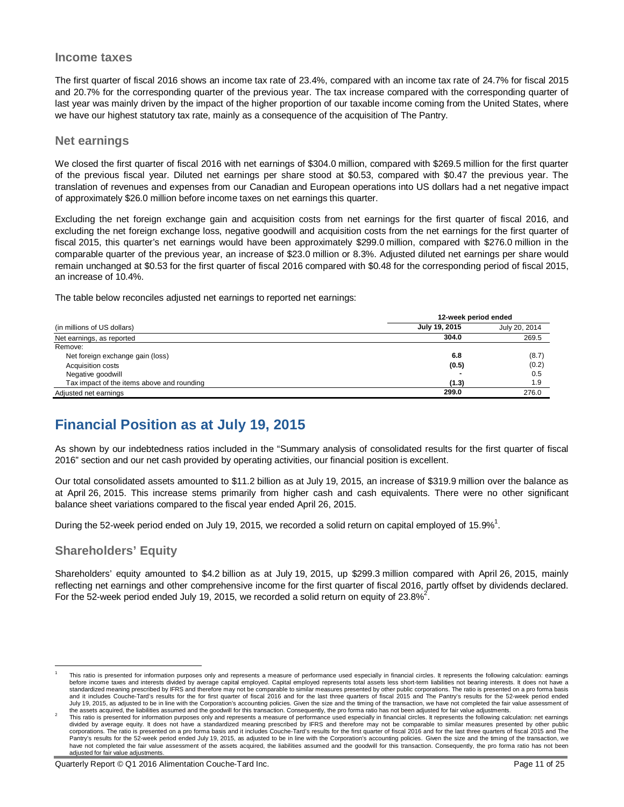#### **Income taxes**

The first quarter of fiscal 2016 shows an income tax rate of 23.4%, compared with an income tax rate of 24.7% for fiscal 2015 and 20.7% for the corresponding quarter of the previous year. The tax increase compared with the corresponding quarter of last year was mainly driven by the impact of the higher proportion of our taxable income coming from the United States, where we have our highest statutory tax rate, mainly as a consequence of the acquisition of The Pantry.

## **Net earnings**

We closed the first quarter of fiscal 2016 with net earnings of \$304.0 million, compared with \$269.5 million for the first quarter of the previous fiscal year. Diluted net earnings per share stood at \$0.53, compared with \$0.47 the previous year. The translation of revenues and expenses from our Canadian and European operations into US dollars had a net negative impact of approximately \$26.0 million before income taxes on net earnings this quarter.

Excluding the net foreign exchange gain and acquisition costs from net earnings for the first quarter of fiscal 2016, and excluding the net foreign exchange loss, negative goodwill and acquisition costs from the net earnings for the first quarter of fiscal 2015, this quarter's net earnings would have been approximately \$299.0 million, compared with \$276.0 million in the comparable quarter of the previous year, an increase of \$23.0 million or 8.3%. Adjusted diluted net earnings per share would remain unchanged at \$0.53 for the first quarter of fiscal 2016 compared with \$0.48 for the corresponding period of fiscal 2015, an increase of 10.4%.

The table below reconciles adjusted net earnings to reported net earnings:

|                                            |               | 12-week period ended |  |  |
|--------------------------------------------|---------------|----------------------|--|--|
| (in millions of US dollars)                | July 19, 2015 | July 20, 2014        |  |  |
| Net earnings, as reported                  | 304.0         | 269.5                |  |  |
| Remove:                                    |               |                      |  |  |
| Net foreign exchange gain (loss)           | 6.8           | (8.7)                |  |  |
| <b>Acquisition costs</b>                   | (0.5)         | (0.2)                |  |  |
| Negative goodwill                          |               | 0.5                  |  |  |
| Tax impact of the items above and rounding | (1.3)         | 1.9                  |  |  |
| Adjusted net earnings                      | 299.0         | 276.0                |  |  |

# **Financial Position as at July 19, 2015**

As shown by our indebtedness ratios included in the "Summary analysis of consolidated results for the first quarter of fiscal 2016" section and our net cash provided by operating activities, our financial position is excellent.

Our total consolidated assets amounted to \$11.2 billion as at July 19, 2015, an increase of \$319.9 million over the balance as at April 26, 2015. This increase stems primarily from higher cash and cash equivalents. There were no other significant balance sheet variations compared to the fiscal year ended April 26, 2015.

During the 52-week period ended on July 19, 2015, we recorded a solid return on capital employed of 15.9%<sup>1</sup>.

# **Shareholders' Equity**

Shareholders' equity amounted to \$4.2 billion as at July 19, 2015, up \$299.3 million compared with April 26, 2015, mainly reflecting net earnings and other comprehensive income for the first quarter of fiscal 2016, partly offset by dividends declared. For the 52-week period ended July 19, 2015, we recorded a solid return on equity of 23.8%<sup>2</sup>.

 $\overline{1}$ 1 This ratio is presented for information purposes only and represents a measure of performance used especially in financial circles. It represents the following calculation: earnings before income taxes and interests divided by average capital employed. Capital employed represents total assets less short-term liabilities not bearing interests. It does not have a standardized meaning prescribed by IFRS and therefore may not be comparable to similar measures presented by other public corporations. The ratio is presented on a pro forma basis<br>and it includes Couche-Tard's results for July 19, 2015, as adjusted to be in line with the Corporation's accounting policies. Given the size and the timing of the transaction, we have not completed the fair value assessment of the assets acquired, the liabilities assumed and the goodwill for this transaction. Consequently, the pro forma ratio has not been adjusted for fair value adjustments.

<sup>2</sup> This ratio is presented for information purposes only and represents a measure of performance used especially in financial circles. It represents the following calculation: net earnings divided by average equity. It does not have a standardized meaning prescribed by IFRS and therefore may not be comparable to similar measures presented by other public<br>corporations. The ratio is presented on a pro forma ba Pantry's results for the 52-week period ended July 19, 2015, as adjusted to be in line with the Corporation's accounting policies. Given the size and the timing of the transaction, we have not completed the fair value assessment of the assets acquired, the liabilities assumed and the goodwill for this transaction. Consequently, the pro forma ratio has not been adjusted for fair value adjustments.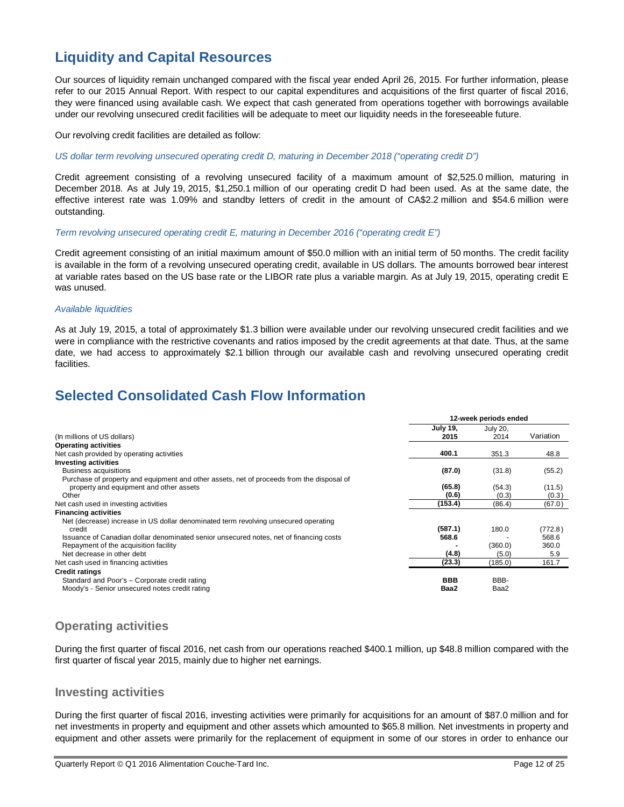# **Liquidity and Capital Resources**

Our sources of liquidity remain unchanged compared with the fiscal year ended April 26, 2015. For further information, please refer to our 2015 Annual Report. With respect to our capital expenditures and acquisitions of the first quarter of fiscal 2016, they were financed using available cash. We expect that cash generated from operations together with borrowings available under our revolving unsecured credit facilities will be adequate to meet our liquidity needs in the foreseeable future.

Our revolving credit facilities are detailed as follow:

*US dollar term revolving unsecured operating credit D, maturing in December 2018 ("operating credit D")*

Credit agreement consisting of a revolving unsecured facility of a maximum amount of \$2,525.0 million, maturing in December 2018. As at July 19, 2015, \$1,250.1 million of our operating credit D had been used. As at the same date, the effective interest rate was 1.09% and standby letters of credit in the amount of CA\$2.2 million and \$54.6 million were outstanding.

*Term revolving unsecured operating credit E, maturing in December 2016 ("operating credit E")*

Credit agreement consisting of an initial maximum amount of \$50.0 million with an initial term of 50 months. The credit facility is available in the form of a revolving unsecured operating credit, available in US dollars. The amounts borrowed bear interest at variable rates based on the US base rate or the LIBOR rate plus a variable margin. As at July 19, 2015, operating credit E was unused.

#### *Available liquidities*

As at July 19, 2015, a total of approximately \$1.3 billion were available under our revolving unsecured credit facilities and we were in compliance with the restrictive covenants and ratios imposed by the credit agreements at that date. Thus, at the same date, we had access to approximately \$2.1 billion through our available cash and revolving unsecured operating credit facilities.

# **Selected Consolidated Cash Flow Information**

|                                                                                           | 12-week periods ended   |                  |           |
|-------------------------------------------------------------------------------------------|-------------------------|------------------|-----------|
| (In millions of US dollars)                                                               | <b>July 19,</b><br>2015 | July 20,<br>2014 | Variation |
| <b>Operating activities</b>                                                               |                         |                  |           |
| Net cash provided by operating activities                                                 | 400.1                   | 351.3            | 48.8      |
| <b>Investing activities</b>                                                               |                         |                  |           |
| Business acquisitions                                                                     | (87.0)                  | (31.8)           | (55.2)    |
| Purchase of property and equipment and other assets, net of proceeds from the disposal of |                         |                  |           |
| property and equipment and other assets                                                   | (65.8)                  | (54.3)           | (11.5)    |
| Other                                                                                     | (0.6)                   | (0.3)            | (0.3)     |
| Net cash used in investing activities                                                     | (153.4)                 | (86.4)           | (67.0)    |
| <b>Financing activities</b>                                                               |                         |                  |           |
| Net (decrease) increase in US dollar denominated term revolving unsecured operating       |                         |                  |           |
| credit                                                                                    | (587.1)                 | 180.0            | (772.8)   |
| Issuance of Canadian dollar denominated senior unsecured notes, net of financing costs    | 568.6                   |                  | 568.6     |
| Repayment of the acquisition facility                                                     |                         | (360.0)          | 360.0     |
| Net decrease in other debt                                                                | (4.8)                   | (5.0)            | 5.9       |
| Net cash used in financing activities                                                     | (23.3)                  | (185.0)          | 161.7     |
| <b>Credit ratings</b>                                                                     |                         |                  |           |
| Standard and Poor's - Corporate credit rating                                             | <b>BBB</b>              | BBB-             |           |
| Moody's - Senior unsecured notes credit rating                                            | Baa2                    | Baa2             |           |

# **Operating activities**

During the first quarter of fiscal 2016, net cash from our operations reached \$400.1 million, up \$48.8 million compared with the first quarter of fiscal year 2015, mainly due to higher net earnings.

## **Investing activities**

During the first quarter of fiscal 2016, investing activities were primarily for acquisitions for an amount of \$87.0 million and for net investments in property and equipment and other assets which amounted to \$65.8 million. Net investments in property and equipment and other assets were primarily for the replacement of equipment in some of our stores in order to enhance our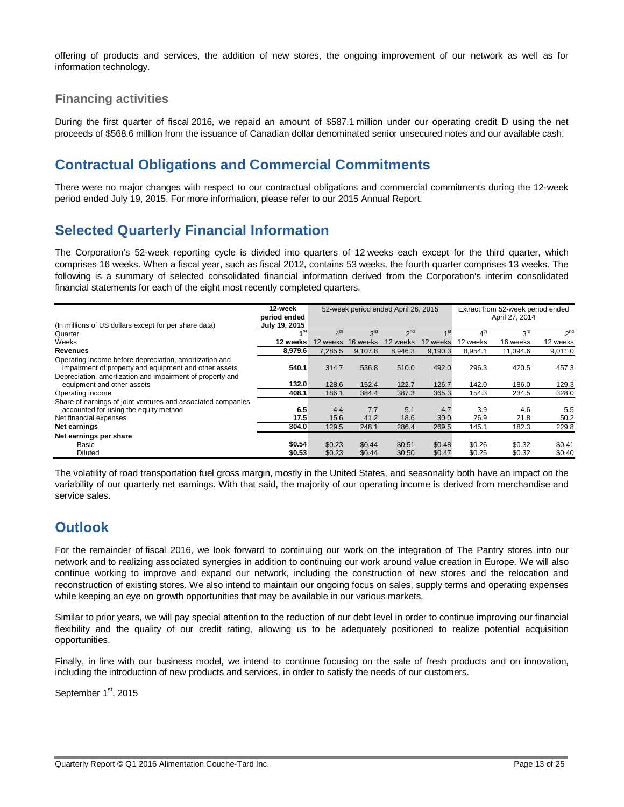offering of products and services, the addition of new stores, the ongoing improvement of our network as well as for information technology.

# **Financing activities**

During the first quarter of fiscal 2016, we repaid an amount of \$587.1 million under our operating credit D using the net proceeds of \$568.6 million from the issuance of Canadian dollar denominated senior unsecured notes and our available cash.

# **Contractual Obligations and Commercial Commitments**

There were no major changes with respect to our contractual obligations and commercial commitments during the 12-week period ended July 19, 2015. For more information, please refer to our 2015 Annual Report.

# **Selected Quarterly Financial Information**

The Corporation's 52-week reporting cycle is divided into quarters of 12 weeks each except for the third quarter, which comprises 16 weeks. When a fiscal year, such as fiscal 2012, contains 53 weeks, the fourth quarter comprises 13 weeks. The following is a summary of selected consolidated financial information derived from the Corporation's interim consolidated financial statements for each of the eight most recently completed quarters.

| (In millions of US dollars except for per share data)                                                           | 12-week<br>period ended<br>July 19, 2015 | 52-week period ended April 26, 2015 |                 |                 |          | Extract from 52-week period ended<br>April 27, 2014 |                 |                 |
|-----------------------------------------------------------------------------------------------------------------|------------------------------------------|-------------------------------------|-----------------|-----------------|----------|-----------------------------------------------------|-----------------|-----------------|
| Quarter                                                                                                         | ⊿st                                      |                                     | $3^{\text{rd}}$ | 2 <sup>nd</sup> |          |                                                     | 3 <sup>rd</sup> | 2 <sup>nd</sup> |
| Weeks                                                                                                           | 12 weeks                                 | 12 weeks                            | 16 weeks        | 12 weeks        | 12 weeks | 12 weeks                                            | 16 weeks        | 12 weeks        |
| <b>Revenues</b>                                                                                                 | 8.979.6                                  | 7.285.5                             | 9,107.8         | 8,946.3         | 9,190.3  | 8.954.1                                             | 11.094.6        | 9,011.0         |
| Operating income before depreciation, amortization and<br>impairment of property and equipment and other assets | 540.1                                    | 314.7                               | 536.8           | 510.0           | 492.0    | 296.3                                               | 420.5           | 457.3           |
| Depreciation, amortization and impairment of property and<br>equipment and other assets                         | 132.0                                    | 128.6                               | 152.4           | 122.7           | 126.7    | 142.0                                               | 186.0           | 129.3           |
| Operating income                                                                                                | 408.1                                    | 186.1                               | 384.4           | 387.3           | 365.3    | 154.3                                               | 234.5           | 328.0           |
| Share of earnings of joint ventures and associated companies<br>accounted for using the equity method           | 6.5                                      | 4.4                                 | 7.7             | 5.1             | 4.7      | 3.9                                                 | 4.6             | 5.5             |
| Net financial expenses                                                                                          | 17.5                                     | 15.6                                | 41.2            | 18.6            | 30.0     | 26.9                                                | 21.8            | 50.2            |
| Net earnings                                                                                                    | 304.0                                    | 129.5                               | 248.1           | 286.4           | 269.5    | 145.1                                               | 182.3           | 229.8           |
| Net earnings per share                                                                                          |                                          |                                     |                 |                 |          |                                                     |                 |                 |
| Basic                                                                                                           | \$0.54                                   | \$0.23                              | \$0.44          | \$0.51          | \$0.48   | \$0.26                                              | \$0.32          | \$0.41          |
| <b>Diluted</b>                                                                                                  | \$0.53                                   | \$0.23                              | \$0.44          | \$0.50          | \$0.47   | \$0.25                                              | \$0.32          | \$0.40          |

The volatility of road transportation fuel gross margin, mostly in the United States, and seasonality both have an impact on the variability of our quarterly net earnings. With that said, the majority of our operating income is derived from merchandise and service sales.

# **Outlook**

For the remainder of fiscal 2016, we look forward to continuing our work on the integration of The Pantry stores into our network and to realizing associated synergies in addition to continuing our work around value creation in Europe. We will also continue working to improve and expand our network, including the construction of new stores and the relocation and reconstruction of existing stores. We also intend to maintain our ongoing focus on sales, supply terms and operating expenses while keeping an eye on growth opportunities that may be available in our various markets.

Similar to prior years, we will pay special attention to the reduction of our debt level in order to continue improving our financial flexibility and the quality of our credit rating, allowing us to be adequately positioned to realize potential acquisition opportunities.

Finally, in line with our business model, we intend to continue focusing on the sale of fresh products and on innovation, including the introduction of new products and services, in order to satisfy the needs of our customers.

September 1<sup>st</sup>, 2015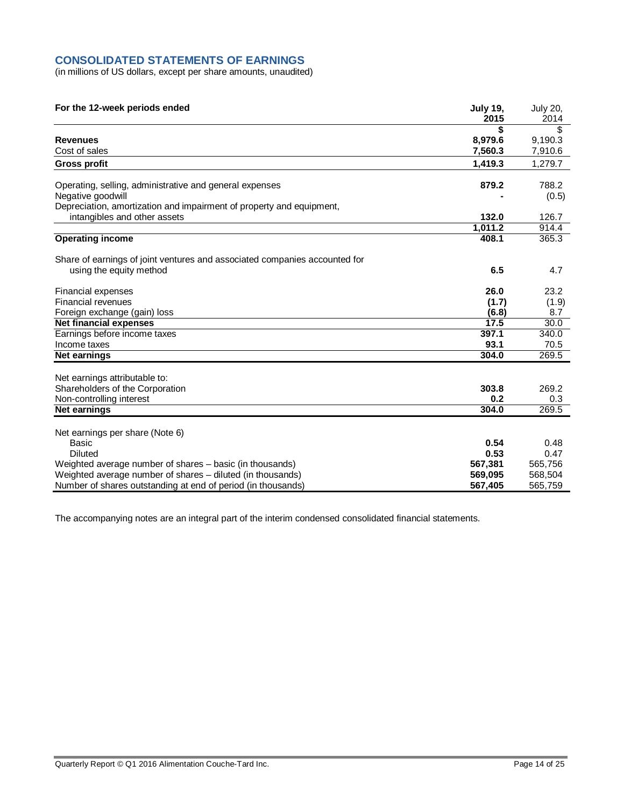## **CONSOLIDATED STATEMENTS OF EARNINGS**

(in millions of US dollars, except per share amounts, unaudited)

| For the 12-week periods ended                                              | <b>July 19,</b><br>2015 | <b>July 20,</b><br>2014 |
|----------------------------------------------------------------------------|-------------------------|-------------------------|
|                                                                            | \$                      | \$                      |
| <b>Revenues</b>                                                            | 8,979.6                 | 9,190.3                 |
| Cost of sales                                                              | 7,560.3                 | 7,910.6                 |
| <b>Gross profit</b>                                                        | 1,419.3                 | 1,279.7                 |
|                                                                            |                         | 788.2                   |
| Operating, selling, administrative and general expenses                    | 879.2                   |                         |
| Negative goodwill                                                          |                         | (0.5)                   |
| Depreciation, amortization and impairment of property and equipment,       |                         |                         |
| intangibles and other assets                                               | 132.0                   | 126.7                   |
|                                                                            | 1,011.2                 | 914.4                   |
| <b>Operating income</b>                                                    | 408.1                   | 365.3                   |
| Share of earnings of joint ventures and associated companies accounted for |                         |                         |
| using the equity method                                                    | 6.5                     | 4.7                     |
| <b>Financial expenses</b>                                                  | 26.0                    | 23.2                    |
| Financial revenues                                                         | (1.7)                   | (1.9)                   |
| Foreign exchange (gain) loss                                               | (6.8)                   | 8.7                     |
| <b>Net financial expenses</b>                                              | 17.5                    | 30.0                    |
| Earnings before income taxes                                               | 397.1                   | 340.0                   |
| Income taxes                                                               | 93.1                    | 70.5                    |
| <b>Net earnings</b>                                                        | 304.0                   | 269.5                   |
| Net earnings attributable to:                                              |                         |                         |
| Shareholders of the Corporation                                            | 303.8                   | 269.2                   |
| Non-controlling interest                                                   | 0.2                     | 0.3                     |
| Net earnings                                                               | 304.0                   | 269.5                   |
|                                                                            |                         |                         |
| Net earnings per share (Note 6)                                            |                         |                         |
| Basic                                                                      | 0.54                    | 0.48                    |
| <b>Diluted</b>                                                             | 0.53                    | 0.47                    |
| Weighted average number of shares – basic (in thousands)                   | 567,381                 | 565,756                 |
| Weighted average number of shares - diluted (in thousands)                 | 569,095                 | 568,504                 |
| Number of shares outstanding at end of period (in thousands)               | 567,405                 | 565,759                 |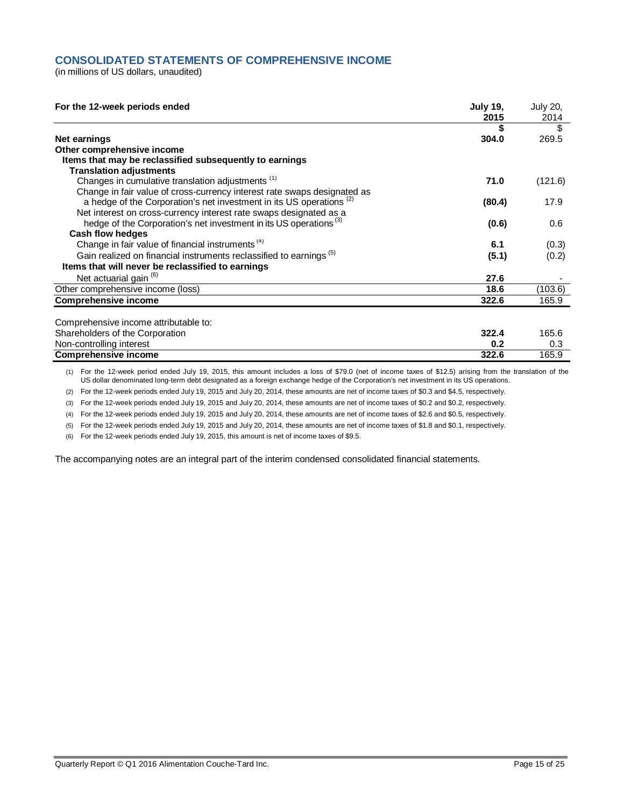## **CONSOLIDATED STATEMENTS OF COMPREHENSIVE INCOME**

(in millions of US dollars, unaudited)

| For the 12-week periods ended                                                   | <b>July 19,</b><br>2015 | <b>July 20,</b><br>2014 |
|---------------------------------------------------------------------------------|-------------------------|-------------------------|
|                                                                                 |                         | S                       |
| Net earnings                                                                    | 304.0                   | 269.5                   |
| Other comprehensive income                                                      |                         |                         |
| Items that may be reclassified subsequently to earnings                         |                         |                         |
| <b>Translation adjustments</b>                                                  |                         |                         |
| Changes in cumulative translation adjustments <sup>(1)</sup>                    | 71.0                    | (121.6)                 |
| Change in fair value of cross-currency interest rate swaps designated as        |                         |                         |
| a hedge of the Corporation's net investment in its US operations <sup>(2)</sup> | (80.4)                  | 17.9                    |
| Net interest on cross-currency interest rate swaps designated as a              |                         |                         |
| hedge of the Corporation's net investment in its US operations <sup>(3)</sup>   | (0.6)                   | 0.6                     |
| <b>Cash flow hedges</b>                                                         |                         |                         |
| Change in fair value of financial instruments <sup>(4)</sup>                    | 6.1                     | (0.3)                   |
| Gain realized on financial instruments reclassified to earnings <sup>(5)</sup>  | (5.1)                   | (0.2)                   |
| Items that will never be reclassified to earnings                               |                         |                         |
| Net actuarial gain <sup>(6)</sup>                                               | 27.6                    |                         |
| Other comprehensive income (loss)                                               | 18.6                    | (103.6)                 |
| <b>Comprehensive income</b>                                                     | 322.6                   | 165.9                   |
| Comprehensive income attributable to:                                           |                         |                         |
|                                                                                 | 322.4                   |                         |
| Shareholders of the Corporation                                                 |                         | 165.6                   |
| Non-controlling interest                                                        | 0.2                     | 0.3                     |
| <b>Comprehensive income</b>                                                     | 322.6                   | 165.9                   |

(1) For the 12-week period ended July 19, 2015, this amount includes a loss of \$79.0 (net of income taxes of \$12.5) arising from the translation of the US dollar denominated long-term debt designated as a foreign exchange hedge of the Corporation's net investment in its US operations.

(2) For the 12-week periods ended July 19, 2015 and July 20, 2014, these amounts are net of income taxes of \$0.3 and \$4.5, respectively.

(3) For the 12-week periods ended July 19, 2015 and July 20, 2014, these amounts are net of income taxes of \$0.2 and \$0.2, respectively.

(4) For the 12-week periods ended July 19, 2015 and July 20, 2014, these amounts are net of income taxes of \$2.6 and \$0.5, respectively.

(5) For the 12-week periods ended July 19, 2015 and July 20, 2014, these amounts are net of income taxes of \$1.8 and \$0.1, respectively.

(6) For the 12-week periods ended July 19, 2015, this amount is net of income taxes of \$9.5.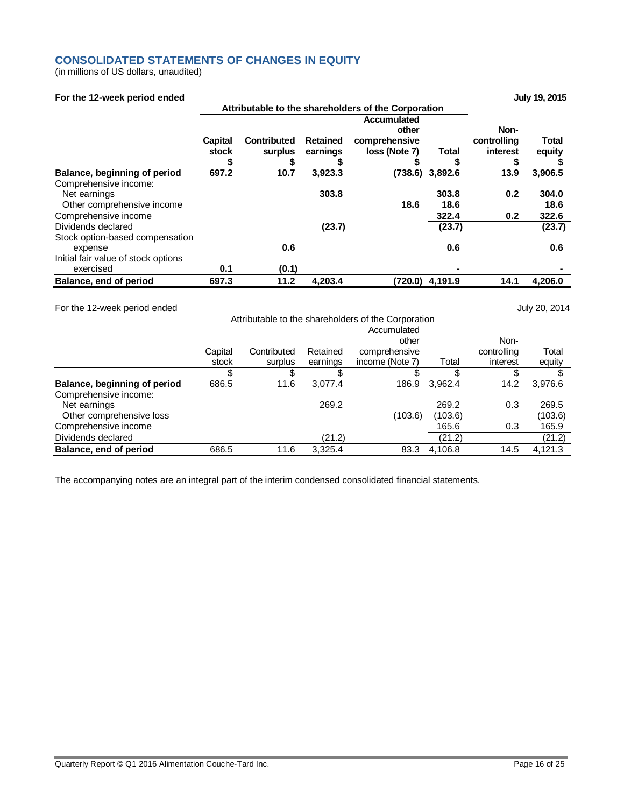## **CONSOLIDATED STATEMENTS OF CHANGES IN EQUITY**

(in millions of US dollars, unaudited)

| For the 12-week period ended                          |                |                                                     |                 |                                              |              |                     | July 19, 2015 |
|-------------------------------------------------------|----------------|-----------------------------------------------------|-----------------|----------------------------------------------|--------------|---------------------|---------------|
|                                                       |                | Attributable to the shareholders of the Corporation |                 |                                              |              |                     |               |
|                                                       | <b>Capital</b> | <b>Contributed</b>                                  | <b>Retained</b> | <b>Accumulated</b><br>other<br>comprehensive |              | Non-<br>controlling | Total         |
|                                                       | stock          | surplus                                             | earnings        | loss (Note 7)                                | <b>Total</b> | interest            | equity        |
|                                                       | S              | \$                                                  | S               | S                                            | S            | S                   |               |
| Balance, beginning of period<br>Comprehensive income: | 697.2          | 10.7                                                | 3,923.3         | (738.6)                                      | 3,892.6      | 13.9                | 3,906.5       |
| Net earnings                                          |                |                                                     | 303.8           |                                              | 303.8        | 0.2                 | 304.0         |
| Other comprehensive income                            |                |                                                     |                 | 18.6                                         | 18.6         |                     | 18.6          |
| Comprehensive income                                  |                |                                                     |                 |                                              | 322.4        | 0.2                 | 322.6         |
| Dividends declared                                    |                |                                                     | (23.7)          |                                              | (23.7)       |                     | (23.7)        |
| Stock option-based compensation<br>expense            |                | 0.6                                                 |                 |                                              | 0.6          |                     | 0.6           |
| Initial fair value of stock options                   |                |                                                     |                 |                                              |              |                     |               |
| exercised                                             | 0.1            | (0.1)                                               |                 |                                              |              |                     |               |
| Balance, end of period                                | 697.3          | 11.2                                                | 4,203.4         | (720.0)                                      | 4,191.9      | 14.1                | 4,206.0       |

For the 12-week period ended July 20, 2014

|                              |         | Attributable to the shareholders of the Corporation |          |                 |         |             |         |
|------------------------------|---------|-----------------------------------------------------|----------|-----------------|---------|-------------|---------|
|                              |         |                                                     |          | Accumulated     |         |             |         |
|                              |         |                                                     |          | other           |         | Non-        |         |
|                              | Capital | Contributed                                         | Retained | comprehensive   |         | controlling | Total   |
|                              | stock   | surplus                                             | earnings | income (Note 7) | Total   | interest    | equity  |
|                              |         | \$                                                  |          |                 | S       | S           |         |
| Balance, beginning of period | 686.5   | 11.6                                                | 3,077.4  | 186.9           | 3,962.4 | 14.2        | 3,976.6 |
| Comprehensive income:        |         |                                                     |          |                 |         |             |         |
| Net earnings                 |         |                                                     | 269.2    |                 | 269.2   | 0.3         | 269.5   |
| Other comprehensive loss     |         |                                                     |          | (103.6)         | (103.6) |             | (103.6) |
| Comprehensive income         |         |                                                     |          |                 | 165.6   | 0.3         | 165.9   |
| Dividends declared           |         |                                                     | (21.2)   |                 | (21.2)  |             | (21.2)  |
| Balance, end of period       | 686.5   | 11.6                                                | 3.325.4  | 83.3            | 4,106.8 | 14.5        | 4.121.3 |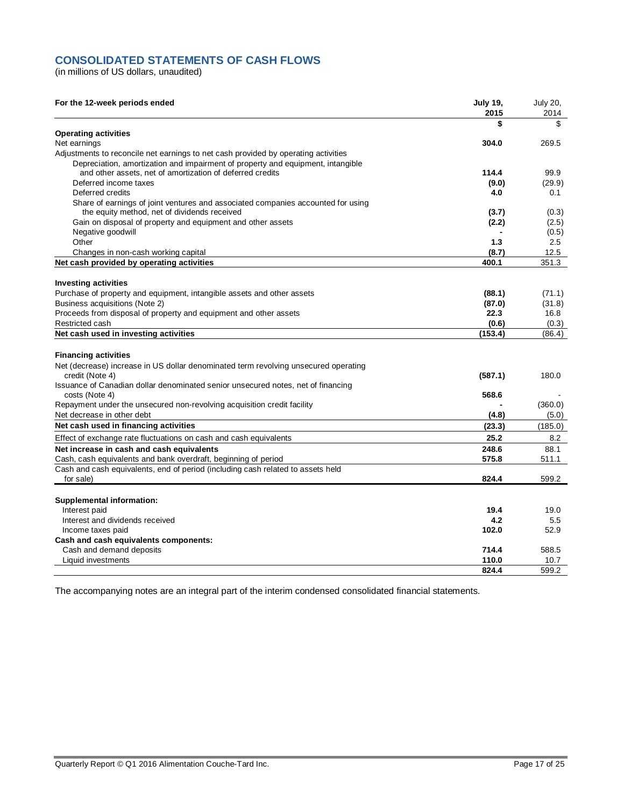## **CONSOLIDATED STATEMENTS OF CASH FLOWS**

(in millions of US dollars, unaudited)

| For the 12-week periods ended                                                                                                    | <b>July 19,</b><br>2015 | <b>July 20,</b><br>2014 |
|----------------------------------------------------------------------------------------------------------------------------------|-------------------------|-------------------------|
|                                                                                                                                  | \$                      | \$                      |
| <b>Operating activities</b>                                                                                                      |                         |                         |
| Net earnings                                                                                                                     | 304.0                   | 269.5                   |
| Adjustments to reconcile net earnings to net cash provided by operating activities                                               |                         |                         |
| Depreciation, amortization and impairment of property and equipment, intangible                                                  |                         |                         |
| and other assets, net of amortization of deferred credits                                                                        | 114.4                   | 99.9                    |
| Deferred income taxes                                                                                                            | (9.0)                   | (29.9)                  |
| Deferred credits                                                                                                                 | 4.0                     | 0.1                     |
| Share of earnings of joint ventures and associated companies accounted for using<br>the equity method, net of dividends received | (3.7)                   | (0.3)                   |
| Gain on disposal of property and equipment and other assets                                                                      | (2.2)                   | (2.5)                   |
| Negative goodwill                                                                                                                |                         | (0.5)                   |
| Other                                                                                                                            | 1.3                     | 2.5                     |
| Changes in non-cash working capital                                                                                              | (8.7)                   | 12.5                    |
| Net cash provided by operating activities                                                                                        | 400.1                   | 351.3                   |
|                                                                                                                                  |                         |                         |
| <b>Investing activities</b>                                                                                                      |                         |                         |
| Purchase of property and equipment, intangible assets and other assets                                                           | (88.1)                  | (71.1)                  |
| Business acquisitions (Note 2)                                                                                                   | (87.0)                  | (31.8)                  |
| Proceeds from disposal of property and equipment and other assets                                                                | 22.3                    | 16.8                    |
| Restricted cash                                                                                                                  | (0.6)                   | (0.3)                   |
| Net cash used in investing activities                                                                                            | (153.4)                 | (86.4)                  |
| <b>Financing activities</b>                                                                                                      |                         |                         |
|                                                                                                                                  |                         |                         |
| Net (decrease) increase in US dollar denominated term revolving unsecured operating<br>credit (Note 4)                           | (587.1)                 | 180.0                   |
| Issuance of Canadian dollar denominated senior unsecured notes, net of financing                                                 |                         |                         |
| costs (Note 4)                                                                                                                   | 568.6                   |                         |
| Repayment under the unsecured non-revolving acquisition credit facility                                                          |                         | (360.0)                 |
| Net decrease in other debt                                                                                                       | (4.8)                   | (5.0)                   |
| Net cash used in financing activities                                                                                            | (23.3)                  | (185.0)                 |
| Effect of exchange rate fluctuations on cash and cash equivalents                                                                | 25.2                    | 8.2                     |
| Net increase in cash and cash equivalents                                                                                        | 248.6                   | 88.1                    |
| Cash, cash equivalents and bank overdraft, beginning of period                                                                   | 575.8                   | 511.1                   |
| Cash and cash equivalents, end of period (including cash related to assets held                                                  |                         |                         |
| for sale)                                                                                                                        | 824.4                   | 599.2                   |
|                                                                                                                                  |                         |                         |
| <b>Supplemental information:</b>                                                                                                 |                         |                         |
| Interest paid                                                                                                                    | 19.4<br>4.2             | 19.0<br>5.5             |
| Interest and dividends received                                                                                                  |                         |                         |
| Income taxes paid                                                                                                                | 102.0                   | 52.9                    |
| Cash and cash equivalents components:                                                                                            | 714.4                   | 588.5                   |
| Cash and demand deposits<br>Liquid investments                                                                                   | 110.0                   | 10.7                    |
|                                                                                                                                  | 824.4                   | 599.2                   |
|                                                                                                                                  |                         |                         |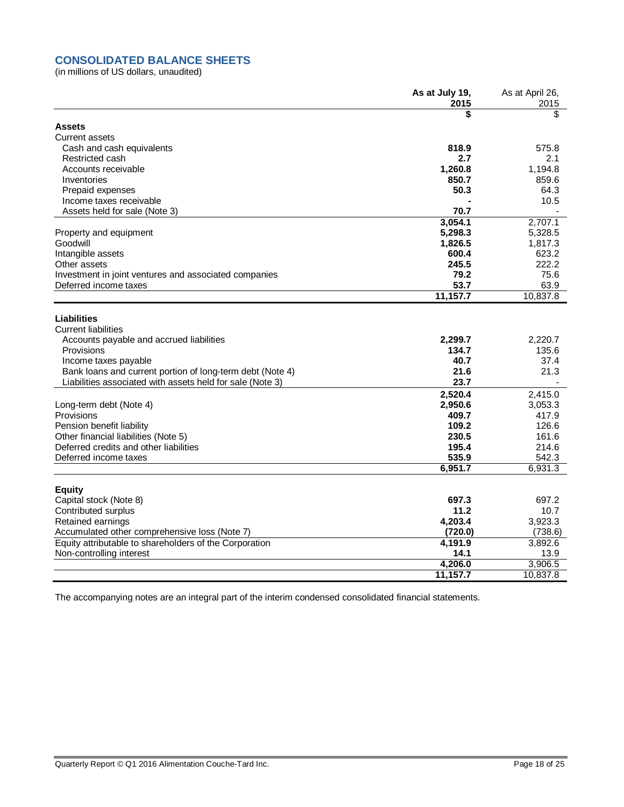# **CONSOLIDATED BALANCE SHEETS**

(in millions of US dollars, unaudited)

|                                                                                              | As at July 19,<br>2015 | As at April 26,<br>2015 |
|----------------------------------------------------------------------------------------------|------------------------|-------------------------|
|                                                                                              |                        | \$                      |
| <b>Assets</b>                                                                                |                        |                         |
| <b>Current assets</b>                                                                        |                        |                         |
| Cash and cash equivalents                                                                    | 818.9                  | 575.8                   |
| Restricted cash                                                                              | 2.7                    | 2.1                     |
| Accounts receivable                                                                          | 1,260.8                | 1,194.8                 |
| Inventories                                                                                  | 850.7                  | 859.6                   |
|                                                                                              | 50.3                   | 64.3                    |
| Prepaid expenses                                                                             |                        | 10.5                    |
| Income taxes receivable                                                                      | 70.7                   |                         |
| Assets held for sale (Note 3)                                                                |                        |                         |
|                                                                                              | 3,054.1                | 2,707.1                 |
| Property and equipment                                                                       | 5,298.3                | 5,328.5                 |
| Goodwill                                                                                     | 1,826.5                | 1,817.3                 |
| Intangible assets                                                                            | 600.4                  | 623.2                   |
| Other assets                                                                                 | 245.5                  | 222.2                   |
| Investment in joint ventures and associated companies                                        | 79.2                   | 75.6                    |
| Deferred income taxes                                                                        | 53.7                   | 63.9                    |
|                                                                                              | 11,157.7               | 10,837.8                |
| <b>Liabilities</b><br><b>Current liabilities</b><br>Accounts payable and accrued liabilities | 2,299.7                | 2,220.7                 |
| Provisions                                                                                   | 134.7                  | 135.6                   |
| Income taxes payable                                                                         | 40.7                   | 37.4                    |
| Bank loans and current portion of long-term debt (Note 4)                                    | 21.6                   | 21.3                    |
| Liabilities associated with assets held for sale (Note 3)                                    | 23.7                   |                         |
|                                                                                              |                        |                         |
|                                                                                              | 2,520.4                | 2,415.0                 |
| Long-term debt (Note 4)                                                                      | 2,950.6                | 3,053.3                 |
| Provisions                                                                                   | 409.7                  | 417.9                   |
| Pension benefit liability                                                                    | 109.2                  | 126.6                   |
| Other financial liabilities (Note 5)                                                         | 230.5                  | 161.6                   |
| Deferred credits and other liabilities                                                       | 195.4                  | 214.6                   |
| Deferred income taxes                                                                        | 535.9                  | 542.3                   |
|                                                                                              | 6,951.7                | 6,931.3                 |
| <b>Equity</b>                                                                                |                        |                         |
| Capital stock (Note 8)                                                                       | 697.3                  | 697.2                   |
| Contributed surplus                                                                          | 11.2                   | 10.7                    |
| Retained earnings                                                                            | 4,203.4                | 3,923.3                 |
| Accumulated other comprehensive loss (Note 7)                                                | (720.0)                | (738.6)                 |
| Equity attributable to shareholders of the Corporation                                       | 4,191.9                | 3,892.6                 |
| Non-controlling interest                                                                     | 14.1                   | 13.9                    |
|                                                                                              | 4,206.0                | 3,906.5                 |
|                                                                                              | 11,157.7               | 10,837.8                |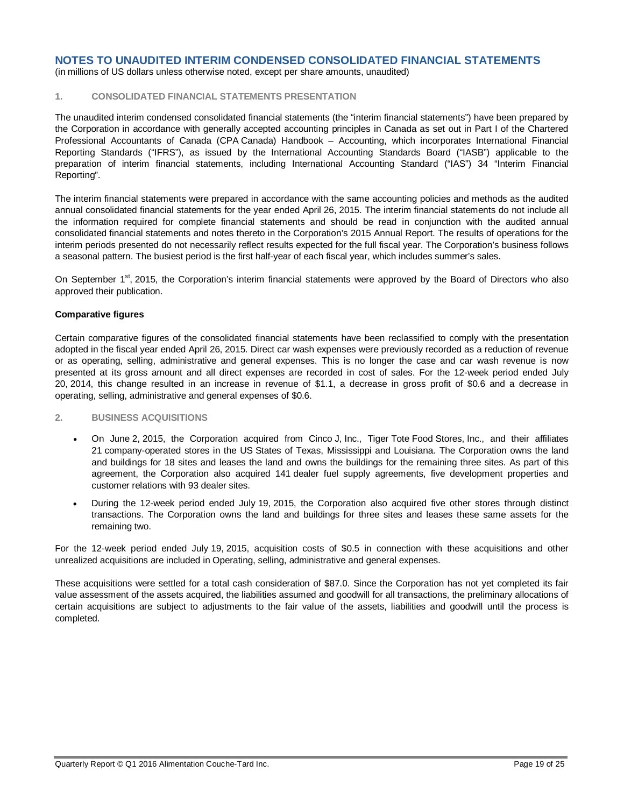(in millions of US dollars unless otherwise noted, except per share amounts, unaudited)

#### **1. CONSOLIDATED FINANCIAL STATEMENTS PRESENTATION**

The unaudited interim condensed consolidated financial statements (the "interim financial statements") have been prepared by the Corporation in accordance with generally accepted accounting principles in Canada as set out in Part I of the Chartered Professional Accountants of Canada (CPA Canada) Handbook – Accounting, which incorporates International Financial Reporting Standards ("IFRS"), as issued by the International Accounting Standards Board ("IASB") applicable to the preparation of interim financial statements, including International Accounting Standard ("IAS") 34 "Interim Financial Reporting".

The interim financial statements were prepared in accordance with the same accounting policies and methods as the audited annual consolidated financial statements for the year ended April 26, 2015. The interim financial statements do not include all the information required for complete financial statements and should be read in conjunction with the audited annual consolidated financial statements and notes thereto in the Corporation's 2015 Annual Report. The results of operations for the interim periods presented do not necessarily reflect results expected for the full fiscal year. The Corporation's business follows a seasonal pattern. The busiest period is the first half-year of each fiscal year, which includes summer's sales.

On September 1<sup>st</sup>, 2015, the Corporation's interim financial statements were approved by the Board of Directors who also approved their publication.

#### **Comparative figures**

Certain comparative figures of the consolidated financial statements have been reclassified to comply with the presentation adopted in the fiscal year ended April 26, 2015. Direct car wash expenses were previously recorded as a reduction of revenue or as operating, selling, administrative and general expenses. This is no longer the case and car wash revenue is now presented at its gross amount and all direct expenses are recorded in cost of sales. For the 12-week period ended July 20, 2014, this change resulted in an increase in revenue of \$1.1, a decrease in gross profit of \$0.6 and a decrease in operating, selling, administrative and general expenses of \$0.6.

#### **2. BUSINESS ACQUISITIONS**

- On June 2, 2015, the Corporation acquired from Cinco J, Inc., Tiger Tote Food Stores, Inc., and their affiliates 21 company-operated stores in the US States of Texas, Mississippi and Louisiana. The Corporation owns the land and buildings for 18 sites and leases the land and owns the buildings for the remaining three sites. As part of this agreement, the Corporation also acquired 141 dealer fuel supply agreements, five development properties and customer relations with 93 dealer sites.
- During the 12-week period ended July 19, 2015, the Corporation also acquired five other stores through distinct transactions. The Corporation owns the land and buildings for three sites and leases these same assets for the remaining two.

For the 12-week period ended July 19, 2015, acquisition costs of \$0.5 in connection with these acquisitions and other unrealized acquisitions are included in Operating, selling, administrative and general expenses.

These acquisitions were settled for a total cash consideration of \$87.0. Since the Corporation has not yet completed its fair value assessment of the assets acquired, the liabilities assumed and goodwill for all transactions, the preliminary allocations of certain acquisitions are subject to adjustments to the fair value of the assets, liabilities and goodwill until the process is completed.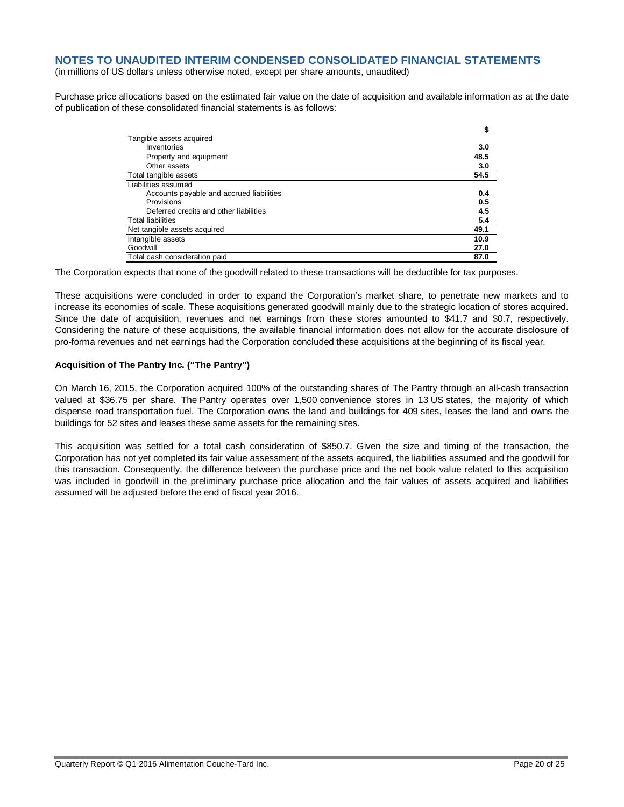(in millions of US dollars unless otherwise noted, except per share amounts, unaudited)

Purchase price allocations based on the estimated fair value on the date of acquisition and available information as at the date of publication of these consolidated financial statements is as follows:

|                                          | \$   |
|------------------------------------------|------|
| Tangible assets acquired                 |      |
| Inventories                              | 3.0  |
| Property and equipment                   | 48.5 |
| Other assets                             | 3.0  |
| Total tangible assets                    | 54.5 |
| Liabilities assumed                      |      |
| Accounts payable and accrued liabilities | 0.4  |
| Provisions                               | 0.5  |
| Deferred credits and other liabilities   | 4.5  |
| <b>Total liabilities</b>                 | 5.4  |
| Net tangible assets acquired             | 49.1 |
| Intangible assets                        | 10.9 |
| Goodwill                                 | 27.0 |
| Total cash consideration paid            | 87.0 |

The Corporation expects that none of the goodwill related to these transactions will be deductible for tax purposes.

These acquisitions were concluded in order to expand the Corporation's market share, to penetrate new markets and to increase its economies of scale. These acquisitions generated goodwill mainly due to the strategic location of stores acquired. Since the date of acquisition, revenues and net earnings from these stores amounted to \$41.7 and \$0.7, respectively. Considering the nature of these acquisitions, the available financial information does not allow for the accurate disclosure of pro-forma revenues and net earnings had the Corporation concluded these acquisitions at the beginning of its fiscal year.

#### **Acquisition of The Pantry Inc. ("The Pantry")**

On March 16, 2015, the Corporation acquired 100% of the outstanding shares of The Pantry through an all-cash transaction valued at \$36.75 per share. The Pantry operates over 1,500 convenience stores in 13 US states, the majority of which dispense road transportation fuel. The Corporation owns the land and buildings for 409 sites, leases the land and owns the buildings for 52 sites and leases these same assets for the remaining sites.

This acquisition was settled for a total cash consideration of \$850.7. Given the size and timing of the transaction, the Corporation has not yet completed its fair value assessment of the assets acquired, the liabilities assumed and the goodwill for this transaction. Consequently, the difference between the purchase price and the net book value related to this acquisition was included in goodwill in the preliminary purchase price allocation and the fair values of assets acquired and liabilities assumed will be adjusted before the end of fiscal year 2016.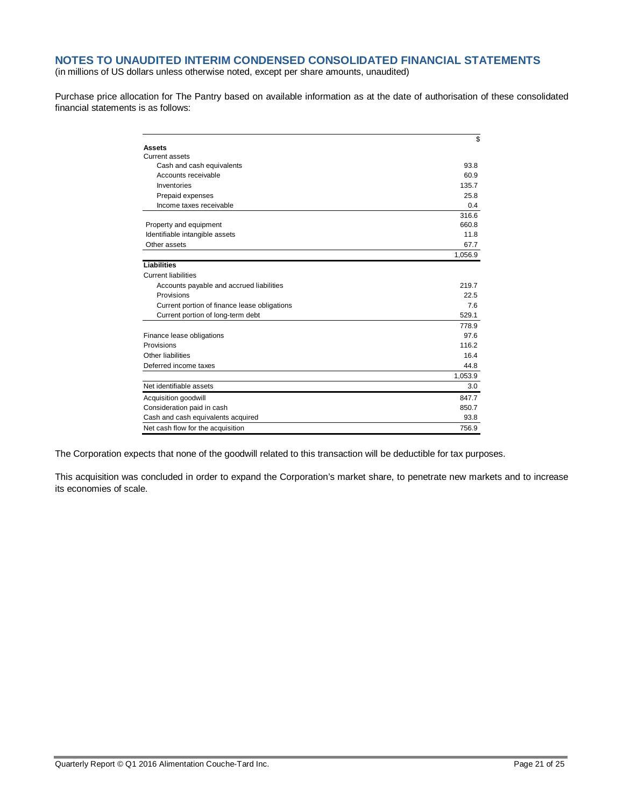(in millions of US dollars unless otherwise noted, except per share amounts, unaudited)

Purchase price allocation for The Pantry based on available information as at the date of authorisation of these consolidated financial statements is as follows:

|                                              | \$      |
|----------------------------------------------|---------|
| <b>Assets</b>                                |         |
| Current assets                               |         |
| Cash and cash equivalents                    | 93.8    |
| Accounts receivable                          | 60.9    |
| Inventories                                  | 135.7   |
| Prepaid expenses                             | 25.8    |
| Income taxes receivable                      | 0.4     |
|                                              | 316.6   |
| Property and equipment                       | 660.8   |
| Identifiable intangible assets               | 11.8    |
| Other assets                                 | 67.7    |
|                                              | 1,056.9 |
| <b>Liabilities</b>                           |         |
| <b>Current liabilities</b>                   |         |
| Accounts payable and accrued liabilities     | 219.7   |
| Provisions                                   | 22.5    |
| Current portion of finance lease obligations | 7.6     |
| Current portion of long-term debt            | 529.1   |
|                                              | 778.9   |
| Finance lease obligations                    | 97.6    |
| Provisions                                   | 116.2   |
| Other liabilities                            | 16.4    |
| Deferred income taxes                        | 44.8    |
|                                              | 1,053.9 |
| Net identifiable assets                      | 3.0     |
| Acquisition goodwill                         | 847.7   |
| Consideration paid in cash                   | 850.7   |
| Cash and cash equivalents acquired           | 93.8    |
| Net cash flow for the acquisition            | 756.9   |

The Corporation expects that none of the goodwill related to this transaction will be deductible for tax purposes.

This acquisition was concluded in order to expand the Corporation's market share, to penetrate new markets and to increase its economies of scale.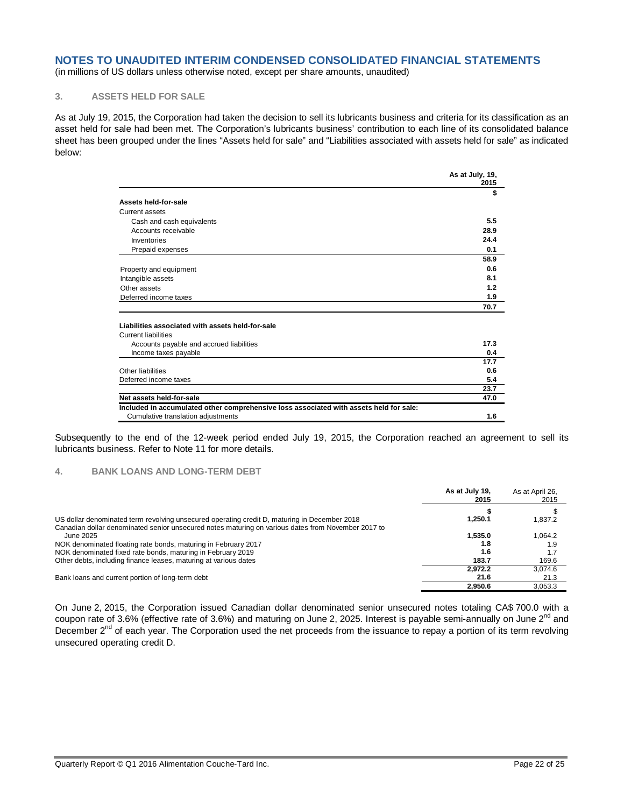(in millions of US dollars unless otherwise noted, except per share amounts, unaudited)

#### **3. ASSETS HELD FOR SALE**

As at July 19, 2015, the Corporation had taken the decision to sell its lubricants business and criteria for its classification as an asset held for sale had been met. The Corporation's lubricants business' contribution to each line of its consolidated balance sheet has been grouped under the lines "Assets held for sale" and "Liabilities associated with assets held for sale" as indicated below:

|                                                                                        | As at July, 19,<br>2015 |
|----------------------------------------------------------------------------------------|-------------------------|
|                                                                                        | \$                      |
| Assets held-for-sale                                                                   |                         |
| Current assets                                                                         |                         |
| Cash and cash equivalents                                                              | 5.5                     |
| Accounts receivable                                                                    | 28.9                    |
| Inventories                                                                            | 24.4                    |
| Prepaid expenses                                                                       | 0.1                     |
|                                                                                        | 58.9                    |
| Property and equipment                                                                 | 0.6                     |
| Intangible assets                                                                      | 8.1                     |
| Other assets                                                                           | 1.2                     |
| Deferred income taxes                                                                  | 1.9                     |
|                                                                                        | 70.7                    |
| Liabilities associated with assets held-for-sale                                       |                         |
| <b>Current liabilities</b>                                                             |                         |
| Accounts payable and accrued liabilities                                               | 17.3                    |
| Income taxes payable                                                                   | 0.4                     |
|                                                                                        | 17.7                    |
| Other liabilities                                                                      | 0.6                     |
| Deferred income taxes                                                                  | 5.4                     |
|                                                                                        | 23.7                    |
| Net assets held-for-sale                                                               | 47.0                    |
| Included in accumulated other comprehensive loss associated with assets held for sale: |                         |
| Cumulative translation adjustments                                                     | 1.6                     |

Subsequently to the end of the 12-week period ended July 19, 2015, the Corporation reached an agreement to sell its lubricants business. Refer to Note 11 for more details.

#### **4. BANK LOANS AND LONG-TERM DEBT**

|                                                                                                                                                                                   | As at July 19,<br>2015  | As at April 26,<br>2015 |
|-----------------------------------------------------------------------------------------------------------------------------------------------------------------------------------|-------------------------|-------------------------|
| US dollar denominated term revolving unsecured operating credit D, maturing in December 2018                                                                                      | 1.250.1                 | 1,837.2                 |
| Canadian dollar denominated senior unsecured notes maturing on various dates from November 2017 to<br>June 2025<br>NOK denominated floating rate bonds, maturing in February 2017 | 1.535.0<br>1.8          | 1.064.2<br>1.9          |
| NOK denominated fixed rate bonds, maturing in February 2019<br>Other debts, including finance leases, maturing at various dates                                                   | 1.6<br>183.7<br>2.972.2 | 169.6<br>3.074.6        |
| Bank loans and current portion of long-term debt                                                                                                                                  | 21.6<br>2.950.6         | 21.3<br>3.053.3         |

On June 2, 2015, the Corporation issued Canadian dollar denominated senior unsecured notes totaling CA\$ 700.0 with a coupon rate of 3.6% (effective rate of 3.6%) and maturing on June 2, 2025. Interest is payable semi-annually on June 2<sup>nd</sup> and December 2<sup>nd</sup> of each year. The Corporation used the net proceeds from the issuance to repay a portion of its term revolving unsecured operating credit D.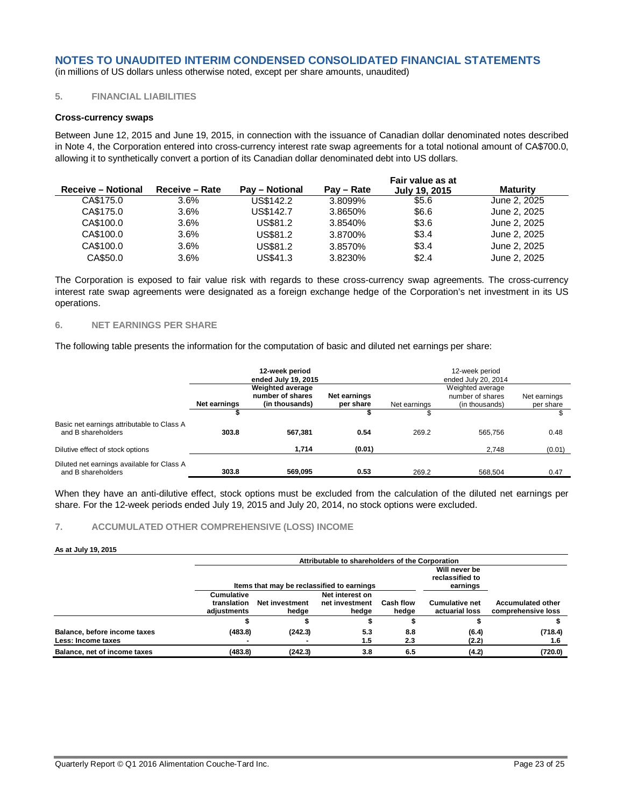(in millions of US dollars unless otherwise noted, except per share amounts, unaudited)

## **5. FINANCIAL LIABILITIES**

#### **Cross-currency swaps**

Between June 12, 2015 and June 19, 2015, in connection with the issuance of Canadian dollar denominated notes described in Note 4, the Corporation entered into cross-currency interest rate swap agreements for a total notional amount of CA\$700.0, allowing it to synthetically convert a portion of its Canadian dollar denominated debt into US dollars.

|                |                       |            | Fair value as at |              |
|----------------|-----------------------|------------|------------------|--------------|
| Receive - Rate | <b>Pay – Notional</b> | Pay – Rate | July 19, 2015    | Maturity     |
| 3.6%           | US\$142.2             | 3.8099%    | \$5.6            | June 2, 2025 |
| $3.6\%$        | US\$142.7             | 3.8650%    | \$6.6            | June 2, 2025 |
| 3.6%           | US\$81.2              | 3.8540%    | \$3.6            | June 2, 2025 |
| 3.6%           | US\$81.2              | 3.8700%    | \$3.4            | June 2, 2025 |
| 3.6%           | US\$81.2              | 3.8570%    | \$3.4            | June 2, 2025 |
| 3.6%           | US\$41.3              | 3.8230%    | \$2.4            | June 2, 2025 |
|                |                       |            |                  |              |

The Corporation is exposed to fair value risk with regards to these cross-currency swap agreements. The cross-currency interest rate swap agreements were designated as a foreign exchange hedge of the Corporation's net investment in its US operations.

#### **6. NET EARNINGS PER SHARE**

The following table presents the information for the computation of basic and diluted net earnings per share:

|                                                                  |                                                                                                            | 12-week period<br>ended July 19, 2015 |        | 12-week period<br>ended July 20, 2014                                                               |         |        |  |
|------------------------------------------------------------------|------------------------------------------------------------------------------------------------------------|---------------------------------------|--------|-----------------------------------------------------------------------------------------------------|---------|--------|--|
|                                                                  | <b>Weighted average</b><br>number of shares<br>Net earnings<br>Net earnings<br>(in thousands)<br>per share |                                       |        | Weighted average<br>number of shares<br>Net earnings<br>Net earnings<br>(in thousands)<br>per share |         |        |  |
|                                                                  |                                                                                                            |                                       |        |                                                                                                     |         |        |  |
| Basic net earnings attributable to Class A<br>and B shareholders | 303.8                                                                                                      | 567.381                               | 0.54   | 269.2                                                                                               | 565.756 | 0.48   |  |
| Dilutive effect of stock options                                 |                                                                                                            | 1.714                                 | (0.01) |                                                                                                     | 2.748   | (0.01) |  |
| Diluted net earnings available for Class A<br>and B shareholders | 303.8                                                                                                      | 569.095                               | 0.53   | 269.2                                                                                               | 568.504 | 0.47   |  |

When they have an anti-dilutive effect, stock options must be excluded from the calculation of the diluted net earnings per share. For the 12-week periods ended July 19, 2015 and July 20, 2014, no stock options were excluded.

#### **7. ACCUMULATED OTHER COMPREHENSIVE (LOSS) INCOME**

#### **As at July 19, 2015**

|                                                    | Attributable to shareholders of the Corporation |                                            |                                            |                    |                                              |                                                |  |  |
|----------------------------------------------------|-------------------------------------------------|--------------------------------------------|--------------------------------------------|--------------------|----------------------------------------------|------------------------------------------------|--|--|
|                                                    |                                                 | Items that may be reclassified to earnings |                                            |                    | Will never be<br>reclassified to<br>earnings | <b>Accumulated other</b><br>comprehensive loss |  |  |
|                                                    | Cumulative<br>translation<br>adiustments        | <b>Net investment</b><br>hedge             | Net interest on<br>net investment<br>hedge | Cash flow<br>hedge | <b>Cumulative net</b><br>actuarial loss      |                                                |  |  |
|                                                    |                                                 |                                            |                                            |                    |                                              |                                                |  |  |
| Balance, before income taxes<br>Less: Income taxes | (483.8)                                         | (242.3)                                    | 5.3<br>1.5                                 | 8.8<br>2.3         | (6.4)<br>(2.2)                               | (718.4)<br>1.6                                 |  |  |
| Balance, net of income taxes                       | (483.8)                                         | (242.3)                                    | 3.8                                        | 6.5                | (4.2)                                        | (720.0)                                        |  |  |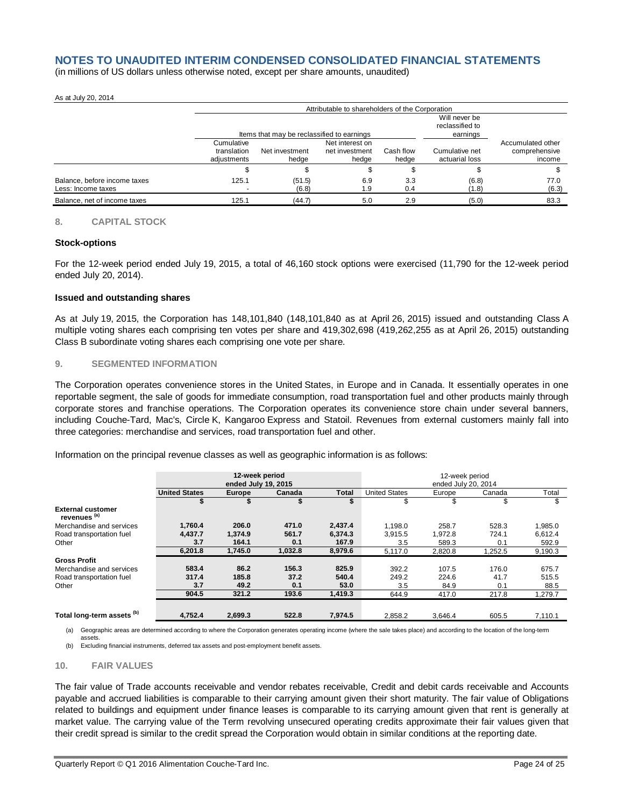(in millions of US dollars unless otherwise noted, except per share amounts, unaudited)

#### As at July 20, 2014

|                                                    |                                          | Attributable to shareholders of the Corporation                                            |                                            |                    |                                  |                                              |  |  |  |
|----------------------------------------------------|------------------------------------------|--------------------------------------------------------------------------------------------|--------------------------------------------|--------------------|----------------------------------|----------------------------------------------|--|--|--|
|                                                    |                                          | Will never be<br>reclassified to<br>Items that may be reclassified to earnings<br>earnings |                                            |                    |                                  |                                              |  |  |  |
|                                                    | Cumulative<br>translation<br>adiustments | Net investment<br>hedae                                                                    | Net interest on<br>net investment<br>hedae | Cash flow<br>hedae | Cumulative net<br>actuarial loss | Accumulated other<br>comprehensive<br>income |  |  |  |
|                                                    |                                          |                                                                                            |                                            |                    |                                  |                                              |  |  |  |
| Balance, before income taxes<br>Less: Income taxes | 125.1                                    | (51.5)<br>(6.8)                                                                            | 6.9<br>1.9                                 | 3.3<br>0.4         | (6.8)<br>(1.8)                   | 77.0<br>(6.3)                                |  |  |  |
| Balance, net of income taxes                       | 125.1                                    | (44.7)                                                                                     | 5.0                                        | 2.9                | (5.0)                            | 83.3                                         |  |  |  |

#### **8. CAPITAL STOCK**

#### **Stock-options**

For the 12-week period ended July 19, 2015, a total of 46,160 stock options were exercised (11,790 for the 12-week period ended July 20, 2014).

#### **Issued and outstanding shares**

As at July 19, 2015, the Corporation has 148,101,840 (148,101,840 as at April 26, 2015) issued and outstanding Class A multiple voting shares each comprising ten votes per share and 419,302,698 (419,262,255 as at April 26, 2015) outstanding Class B subordinate voting shares each comprising one vote per share.

#### **9. SEGMENTED INFORMATION**

The Corporation operates convenience stores in the United States, in Europe and in Canada. It essentially operates in one reportable segment, the sale of goods for immediate consumption, road transportation fuel and other products mainly through corporate stores and franchise operations. The Corporation operates its convenience store chain under several banners, including Couche-Tard, Mac's, Circle K, Kangaroo Express and Statoil. Revenues from external customers mainly fall into three categories: merchandise and services, road transportation fuel and other.

Information on the principal revenue classes as well as geographic information is as follows:

|                                                     | 12-week period<br>ended July 19, 2015 |               |         |         | 12-week period<br>ended July 20, 2014 |         |         |         |  |
|-----------------------------------------------------|---------------------------------------|---------------|---------|---------|---------------------------------------|---------|---------|---------|--|
|                                                     | <b>United States</b>                  | <b>Europe</b> | Canada  | Total   | <b>United States</b>                  | Europe  | Canada  | Total   |  |
|                                                     |                                       |               |         |         | ъ                                     | S       | S       | \$      |  |
| <b>External customer</b><br>revenues <sup>(a)</sup> |                                       |               |         |         |                                       |         |         |         |  |
| Merchandise and services                            | 1,760.4                               | 206.0         | 471.0   | 2,437.4 | 1,198.0                               | 258.7   | 528.3   | 1,985.0 |  |
| Road transportation fuel                            | 4,437.7                               | 1.374.9       | 561.7   | 6,374.3 | 3,915.5                               | 1,972.8 | 724.1   | 6.612.4 |  |
| Other                                               | 3.7                                   | 164.1         | 0.1     | 167.9   | 3.5                                   | 589.3   | 0.1     | 592.9   |  |
|                                                     | 6,201.8                               | 1,745.0       | 1,032.8 | 8,979.6 | 5,117.0                               | 2,820.8 | 1,252.5 | 9,190.3 |  |
| <b>Gross Profit</b>                                 |                                       |               |         |         |                                       |         |         |         |  |
| Merchandise and services                            | 583.4                                 | 86.2          | 156.3   | 825.9   | 392.2                                 | 107.5   | 176.0   | 675.7   |  |
| Road transportation fuel                            | 317.4                                 | 185.8         | 37.2    | 540.4   | 249.2                                 | 224.6   | 41.7    | 515.5   |  |
| Other                                               | 3.7                                   | 49.2          | 0.1     | 53.0    | 3.5                                   | 84.9    | 0.1     | 88.5    |  |
|                                                     | 904.5                                 | 321.2         | 193.6   | 1,419.3 | 644.9                                 | 417.0   | 217.8   | 1,279.7 |  |
| Total long-term assets <sup>(b)</sup>               | 4.752.4                               | 2,699.3       | 522.8   | 7,974.5 | 2.858.2                               | 3.646.4 | 605.5   | 7,110.1 |  |

(a) Geographic areas are determined according to where the Corporation generates operating income (where the sale takes place) and according to the location of the long-term

(b) Excluding financial instruments, deferred tax assets and post-employment benefit assets.

#### **10. FAIR VALUES**

assets.

The fair value of Trade accounts receivable and vendor rebates receivable, Credit and debit cards receivable and Accounts payable and accrued liabilities is comparable to their carrying amount given their short maturity. The fair value of Obligations related to buildings and equipment under finance leases is comparable to its carrying amount given that rent is generally at market value. The carrying value of the Term revolving unsecured operating credits approximate their fair values given that their credit spread is similar to the credit spread the Corporation would obtain in similar conditions at the reporting date.